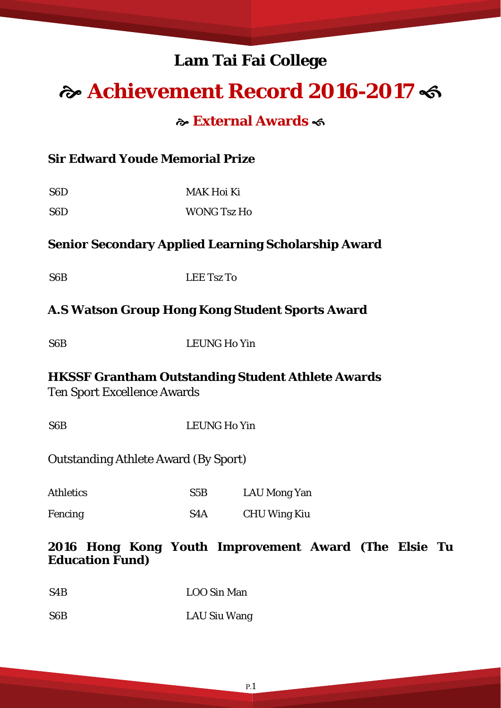# **Lam Tai Fai College**

# **Achievement Record 2016-2017**

#### **External Awards**

#### **Sir Edward Youde Memorial Prize**

S6D MAK Hoi Ki S6D WONG Tsz Ho

#### **Senior Secondary Applied Learning Scholarship Award**

S6B LEE Tsz To

#### **A.S Watson Group Hong Kong Student Sports Award**

S6B LEUNG Ho Yin

# **HKSSF Grantham Outstanding Student Athlete Awards**

Ten Sport Excellence Awards

S6B LEUNG Ho Yin

#### Outstanding Athlete Award (By Sport)

| <b>Athletics</b> | S5B              | LAU Mong Yan |
|------------------|------------------|--------------|
| Fencing          | S <sub>4</sub> A | CHU Wing Kiu |

#### **2016 Hong Kong Youth Improvement Award (The Elsie Tu Education Fund)**

| S <sub>4</sub> B | LOO Sin Man |
|------------------|-------------|
|                  |             |

#### S6B LAU Siu Wang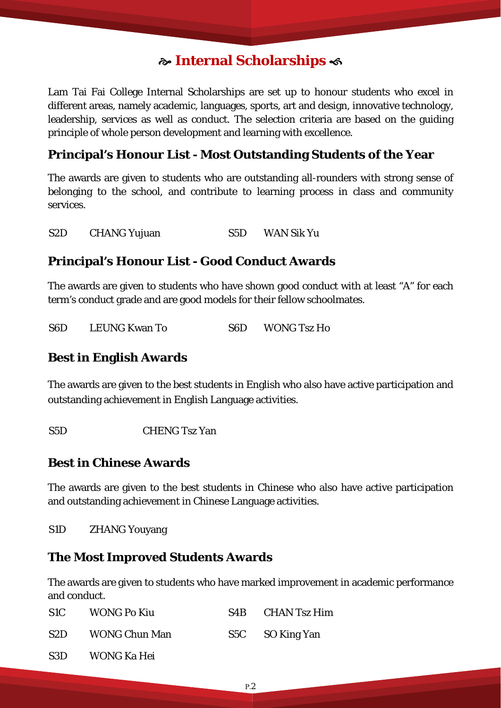### **Internal Scholarships**

Lam Tai Fai College Internal Scholarships are set up to honour students who excel in different areas, namely academic, languages, sports, art and design, innovative technology, leadership, services as well as conduct. The selection criteria are based on the guiding principle of whole person development and learning with excellence.

#### **Principal's Honour List - Most Outstanding Students of the Year**

The awards are given to students who are outstanding all-rounders with strong sense of belonging to the school, and contribute to learning process in class and community services.

S2D CHANG Yujuan S5D WAN Sik Yu

### **Principal's Honour List - Good Conduct Awards**

The awards are given to students who have shown good conduct with at least "A" for each term's conduct grade and are good models for their fellow schoolmates.

| S <sub>6</sub> D | <b>LEUNG Kwan To</b> | S <sub>6</sub> D | <b>WONG Tsz Ho</b> |
|------------------|----------------------|------------------|--------------------|
|------------------|----------------------|------------------|--------------------|

#### **Best in English Awards**

The awards are given to the best students in English who also have active participation and outstanding achievement in English Language activities.

S5D CHENG Tsz Yan

#### **Best in Chinese Awards**

The awards are given to the best students in Chinese who also have active participation and outstanding achievement in Chinese Language activities.

S1D ZHANG Youyang

i

#### **The Most Improved Students Awards**

The awards are given to students who have marked improvement in academic performance and conduct.

| S1C  | <b>WONG Po Kiu</b>   | S4B CHAN Tsz Him |
|------|----------------------|------------------|
| S2D. | <b>WONG Chun Man</b> | S5C SO King Yan  |
| S3D  | WONG Ka Hei          |                  |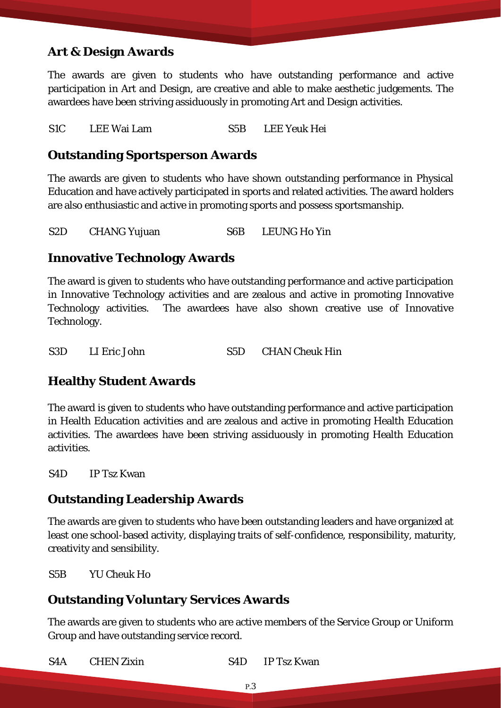#### **Art & Design Awards**

The awards are given to students who have outstanding performance and active participation in Art and Design, are creative and able to make aesthetic judgements. The awardees have been striving assiduously in promoting Art and Design activities.

S1C LEE Wai Lam S5B LEE Yeuk Hei

#### **Outstanding Sportsperson Awards**

The awards are given to students who have shown outstanding performance in Physical Education and have actively participated in sports and related activities. The award holders are also enthusiastic and active in promoting sports and possess sportsmanship.

S2D CHANG Yujuan S6B LEUNG Ho Yin

#### **Innovative Technology Awards**

The award is given to students who have outstanding performance and active participation in Innovative Technology activities and are zealous and active in promoting Innovative Technology activities. The awardees have also shown creative use of Innovative Technology.

S<sub>3D</sub> LI Eric John S<sub>5D</sub> CHAN Cheuk Hin

#### **Healthy Student Awards**

The award is given to students who have outstanding performance and active participation in Health Education activities and are zealous and active in promoting Health Education activities. The awardees have been striving assiduously in promoting Health Education activities.

S4D IP Tsz Kwan

#### **Outstanding Leadership Awards**

The awards are given to students who have been outstanding leaders and have organized at least one school-based activity, displaying traits of self-confidence, responsibility, maturity, creativity and sensibility.

S5B YU Cheuk Ho

#### **Outstanding Voluntary Services Awards**

The awards are given to students who are active members of the Service Group or Uniform Group and have outstanding service record.

S4A CHEN Zixin S4D IP Tsz Kwan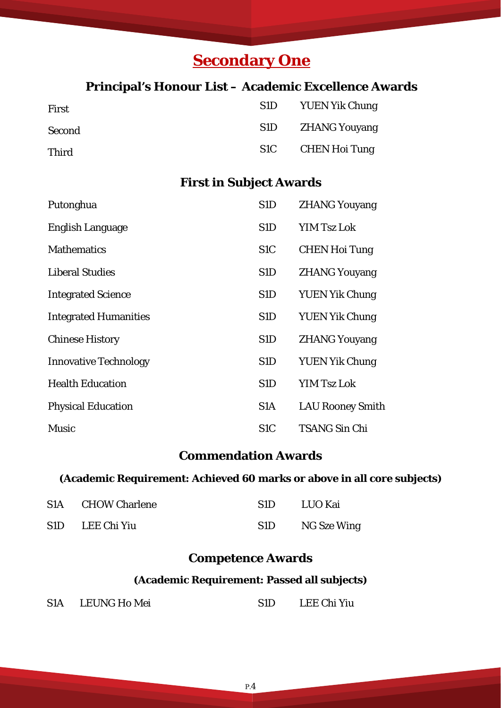# **Secondary One**

#### **Principal's Honour List – Academic Excellence Awards**

| First        | S1D | <b>YUEN Yik Chung</b> |
|--------------|-----|-----------------------|
| Second       | S1D | <b>ZHANG Youyang</b>  |
| <b>Third</b> |     | S1C CHEN Hoi Tung     |

### **First in Subject Awards**

| Putonghua                    | S <sub>1</sub> D | <b>ZHANG Youyang</b>    |
|------------------------------|------------------|-------------------------|
| <b>English Language</b>      | S <sub>1</sub> D | <b>YIM Tsz Lok</b>      |
| <b>Mathematics</b>           | S <sub>1</sub> C | <b>CHEN Hoi Tung</b>    |
| <b>Liberal Studies</b>       | S <sub>1</sub> D | <b>ZHANG Youyang</b>    |
| <b>Integrated Science</b>    | S <sub>1</sub> D | <b>YUEN Yik Chung</b>   |
| <b>Integrated Humanities</b> | S <sub>1</sub> D | <b>YUEN Yik Chung</b>   |
| <b>Chinese History</b>       | S <sub>1</sub> D | <b>ZHANG Youyang</b>    |
| <b>Innovative Technology</b> | S <sub>1</sub> D | <b>YUEN Yik Chung</b>   |
| <b>Health Education</b>      | S <sub>1</sub> D | <b>YIM Tsz Lok</b>      |
| <b>Physical Education</b>    | S <sub>1</sub> A | <b>LAU Rooney Smith</b> |
| <b>Music</b>                 | S <sub>1</sub> C | <b>TSANG Sin Chi</b>    |

#### **Commendation Awards**

#### **(Academic Requirement: Achieved 60 marks or above in all core subjects)**

| S1A CHOW Charlene | -S1D - | LUO Kai     |
|-------------------|--------|-------------|
| S1D LEE Chi Yiu   | S1D    | NG Sze Wing |

#### **Competence Awards**

#### **(Academic Requirement: Passed all subjects)**

| S1A | <b>LEUNG Ho Mei</b> | LEE Chi Yiu |
|-----|---------------------|-------------|
|     |                     |             |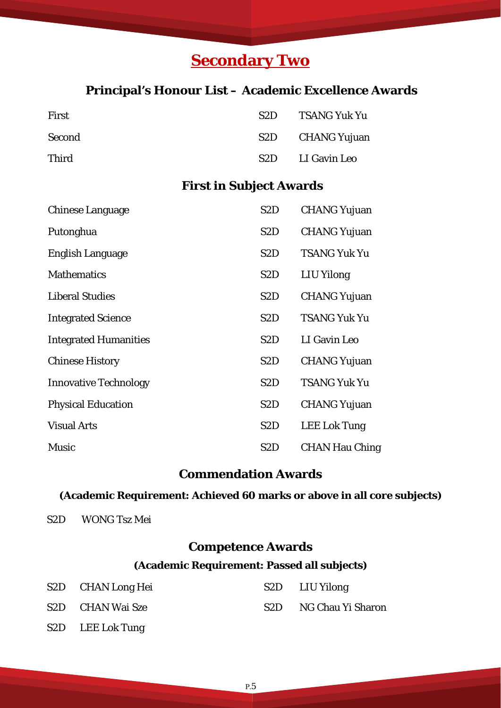# **Secondary Two**

#### **Principal's Honour List – Academic Excellence Awards**

| First        | S <sub>2</sub> D | TSANG Yuk Yu |
|--------------|------------------|--------------|
| Second       | S2D              | CHANG Yujuan |
| <b>Third</b> | S2D -            | LI Gavin Leo |

### **First in Subject Awards**

| <b>Chinese Language</b>      | S <sub>2</sub> D | <b>CHANG Yujuan</b>   |
|------------------------------|------------------|-----------------------|
| Putonghua                    | S <sub>2</sub> D | <b>CHANG Yujuan</b>   |
| English Language             | S <sub>2</sub> D | <b>TSANG Yuk Yu</b>   |
| <b>Mathematics</b>           | S <sub>2</sub> D | LIU Yilong            |
| <b>Liberal Studies</b>       | S <sub>2</sub> D | <b>CHANG Yujuan</b>   |
| <b>Integrated Science</b>    | S <sub>2</sub> D | <b>TSANG Yuk Yu</b>   |
| <b>Integrated Humanities</b> | S <sub>2</sub> D | LI Gavin Leo          |
| <b>Chinese History</b>       | S <sub>2</sub> D | <b>CHANG Yujuan</b>   |
| <b>Innovative Technology</b> | S <sub>2</sub> D | <b>TSANG Yuk Yu</b>   |
| <b>Physical Education</b>    | S <sub>2</sub> D | <b>CHANG Yujuan</b>   |
| <b>Visual Arts</b>           | S <sub>2</sub> D | <b>LEE Lok Tung</b>   |
| <b>Music</b>                 | S <sub>2</sub> D | <b>CHAN Hau Ching</b> |

#### **Commendation Awards**

#### **(Academic Requirement: Achieved 60 marks or above in all core subjects)**

S2D WONG Tsz Mei

### **Competence Awards**

#### **(Academic Requirement: Passed all subjects)**

| S2D CHAN Long Hei |                 | S2D LIU Yilong    |
|-------------------|-----------------|-------------------|
| S2D CHAN Wai Sze  | S <sub>2D</sub> | NG Chau Yi Sharon |

S2D LEE Lok Tung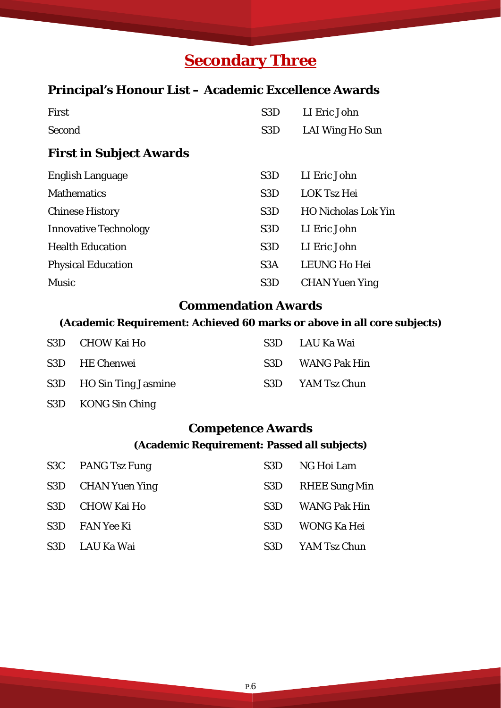# **Secondary Three**

### **Principal's Honour List – Academic Excellence Awards**

| S <sub>3</sub> D | LI Eric John               |
|------------------|----------------------------|
| S <sub>3</sub> D | LAI Wing Ho Sun            |
|                  |                            |
| S <sub>3</sub> D | LI Eric John               |
| S <sub>3</sub> D | <b>LOK Tsz Hei</b>         |
| S <sub>3</sub> D | <b>HO Nicholas Lok Yin</b> |
| S <sub>3</sub> D | LI Eric John               |
| S <sub>3</sub> D | LI Eric John               |
| S3A              | <b>LEUNG Ho Hei</b>        |
| S <sub>3</sub> D | <b>CHAN Yuen Ying</b>      |
|                  |                            |

#### **Commendation Awards**

### **(Academic Requirement: Achieved 60 marks or above in all core subjects)**

| S3D CHOW Kai Ho         | S3D LAU Ka Wai   |
|-------------------------|------------------|
| S3D HE Chenwei          | S3D WANG Pak Hin |
| S3D HO Sin Ting Jasmine | S3D YAM Tsz Chun |

#### S3D KONG Sin Ching

### **Competence Awards**

#### **(Academic Requirement: Passed all subjects)**

|     | S3C PANG Tsz Fung  | S3D  | NG Hoi Lam          |
|-----|--------------------|------|---------------------|
|     | S3D CHAN Yuen Ying | S3D  | RHEE Sung Min       |
| S3D | CHOW Kai Ho        | S3D  | <b>WANG Pak Hin</b> |
| S3D | FAN Yee Ki         | S3D  | WONG Ka Hei         |
| S3D | LAU Ka Wai         | S3D. | YAM Tsz Chun        |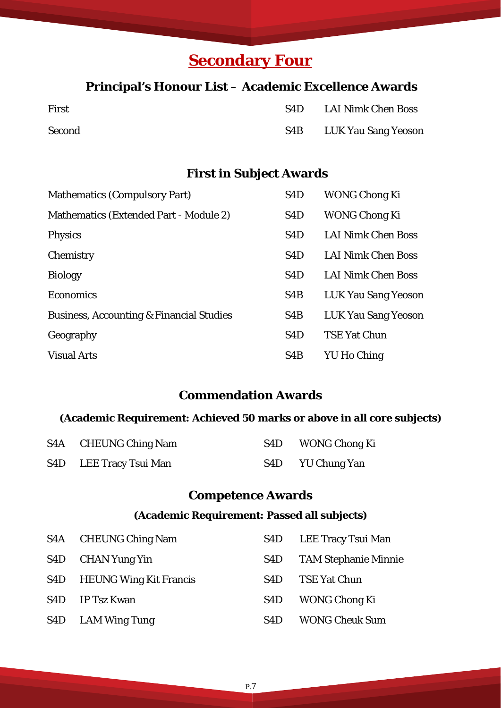# **Secondary Four**

#### **Principal's Honour List – Academic Excellence Awards**

| First  | S4D.             | <b>LAI Nimk Chen Boss</b> |
|--------|------------------|---------------------------|
| Second | S <sub>4</sub> B | LUK Yau Sang Yeoson       |

### **First in Subject Awards**

| <b>Mathematics (Compulsory Part)</b>                | S <sub>4</sub> D | <b>WONG Chong Ki</b>       |
|-----------------------------------------------------|------------------|----------------------------|
| Mathematics (Extended Part - Module 2)              | S4D              | <b>WONG Chong Ki</b>       |
| Physics                                             | S <sub>4</sub> D | <b>LAI Nimk Chen Boss</b>  |
| Chemistry                                           | S <sub>4</sub> D | <b>LAI Nimk Chen Boss</b>  |
| <b>Biology</b>                                      | S <sub>4</sub> D | <b>LAI Nimk Chen Boss</b>  |
| <b>Economics</b>                                    | S <sub>4</sub> B | <b>LUK Yau Sang Yeoson</b> |
| <b>Business, Accounting &amp; Financial Studies</b> | S <sub>4</sub> B | <b>LUK Yau Sang Yeoson</b> |
| Geography                                           | S <sub>4</sub> D | <b>TSE Yat Chun</b>        |
| <b>Visual Arts</b>                                  | S <sub>4</sub> B | <b>YU Ho Ching</b>         |

#### **Commendation Awards**

#### **(Academic Requirement: Achieved 50 marks or above in all core subjects)**

| S4A CHEUNG Ching Nam   | S <sub>4</sub> D | <b>WONG Chong Ki</b> |
|------------------------|------------------|----------------------|
| S4D LEE Tracy Tsui Man | S4D              | YU Chung Yan         |

### **Competence Awards**

#### **(Academic Requirement: Passed all subjects)**

| S <sub>4</sub> A | <b>CHEUNG Ching Nam</b>       | S4D | LEE Tracy Tsui Man          |
|------------------|-------------------------------|-----|-----------------------------|
| S <sub>4</sub> D | CHAN Yung Yin                 | S4D | <b>TAM Stephanie Minnie</b> |
| S <sub>4</sub> D | <b>HEUNG Wing Kit Francis</b> | S4D | <b>TSE Yat Chun</b>         |
| S4D              | IP Tsz Kwan                   | S4D | <b>WONG Chong Ki</b>        |
| S <sub>4</sub> D | <b>LAM Wing Tung</b>          | S4D | <b>WONG Cheuk Sum</b>       |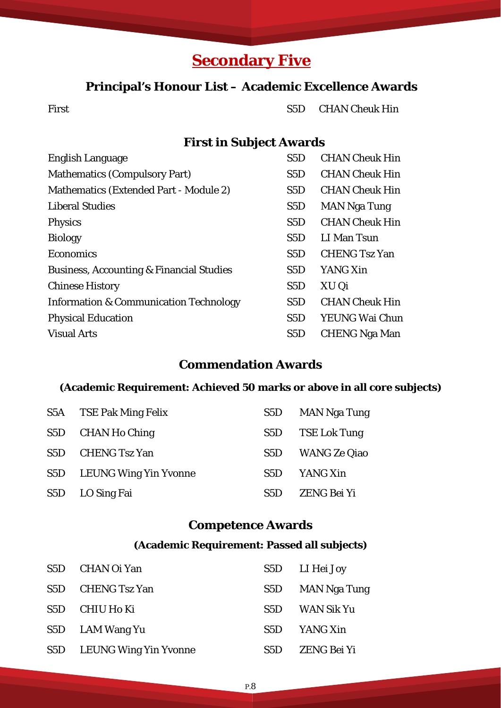# **Secondary Five**

#### **Principal's Honour List – Academic Excellence Awards**

First S5D CHAN Cheuk Hin

#### **First in Subject Awards**

| <b>English Language</b>                             | S <sub>5</sub> D | <b>CHAN Cheuk Hin</b> |
|-----------------------------------------------------|------------------|-----------------------|
| <b>Mathematics (Compulsory Part)</b>                | S5D              | <b>CHAN Cheuk Hin</b> |
| Mathematics (Extended Part - Module 2)              | S <sub>5</sub> D | <b>CHAN Cheuk Hin</b> |
| <b>Liberal Studies</b>                              | S <sub>5</sub> D | <b>MAN Nga Tung</b>   |
| <b>Physics</b>                                      | S5D              | <b>CHAN Cheuk Hin</b> |
| <b>Biology</b>                                      | S5D              | LI Man Tsun           |
| <b>Economics</b>                                    | S5D              | <b>CHENG Tsz Yan</b>  |
| <b>Business, Accounting &amp; Financial Studies</b> | S5D              | YANG Xin              |
| <b>Chinese History</b>                              | S5D              | XU Qi                 |
| <b>Information &amp; Communication Technology</b>   | S5D              | <b>CHAN Cheuk Hin</b> |
| <b>Physical Education</b>                           | S5D              | <b>YEUNG Wai Chun</b> |
| <b>Visual Arts</b>                                  | S <sub>5</sub> D | <b>CHENG Nga Man</b>  |

#### **Commendation Awards**

#### **(Academic Requirement: Achieved 50 marks or above in all core subjects)**

| S5A              | <b>TSE Pak Ming Felix</b> | S <sub>5</sub> D | <b>MAN Nga Tung</b> |
|------------------|---------------------------|------------------|---------------------|
|                  | S5D CHAN Ho Ching         | S5D              | <b>TSE Lok Tung</b> |
| S5D              | <b>CHENG Tsz Yan</b>      | S5D              | <b>WANG Ze Qiao</b> |
| S5D              | LEUNG Wing Yin Yvonne     | S5D              | YANG Xin            |
| S <sub>5</sub> D | LO Sing Fai               | <b>S5D</b>       | <b>ZENG Bei Yi</b>  |

#### **Competence Awards**

#### **(Academic Requirement: Passed all subjects)**

| S5D              | CHAN Oi Yan                  |                  | S5D LI Hei Joy |
|------------------|------------------------------|------------------|----------------|
| S5D              | <b>CHENG Tsz Yan</b>         | S <sub>5</sub> D | MAN Nga Tung   |
| S5D              | CHIU Ho Ki                   | S5D              | WAN Sik Yu     |
|                  | S5D LAM Wang Yu              | S5D              | YANG Xin       |
| S <sub>5</sub> D | <b>LEUNG Wing Yin Yvonne</b> | S5D              | ZENG Bei Yi    |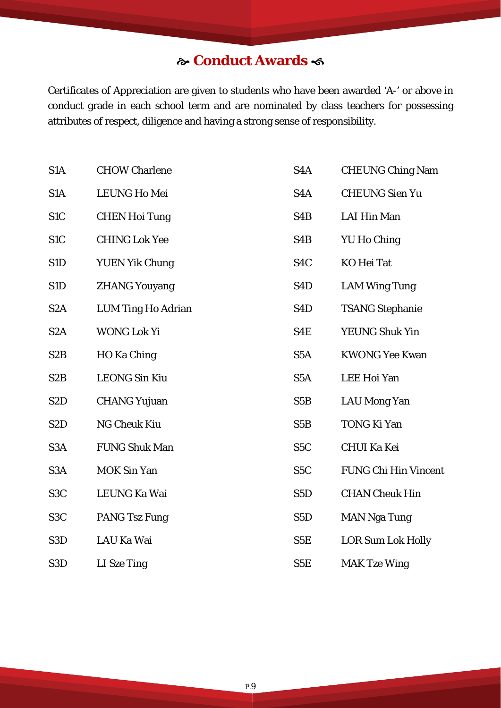### **Conduct Awards**

Certificates of Appreciation are given to students who have been awarded 'A-' or above in conduct grade in each school term and are nominated by class teachers for possessing attributes of respect, diligence and having a strong sense of responsibility.

| S <sub>1</sub> A | <b>CHOW Charlene</b>      | S <sub>4</sub> A | <b>CHEUNG Ching Nam</b>     |
|------------------|---------------------------|------------------|-----------------------------|
| S <sub>1</sub> A | <b>LEUNG Ho Mei</b>       | S <sub>4</sub> A | <b>CHEUNG Sien Yu</b>       |
| S <sub>1</sub> C | <b>CHEN Hoi Tung</b>      | S <sub>4</sub> B | <b>LAI Hin Man</b>          |
| S <sub>1</sub> C | <b>CHING Lok Yee</b>      | S <sub>4</sub> B | <b>YU Ho Ching</b>          |
| S1D              | <b>YUEN Yik Chung</b>     | S <sub>4</sub> C | <b>KO</b> Hei Tat           |
| S1D              | <b>ZHANG Youyang</b>      | S <sub>4</sub> D | <b>LAM Wing Tung</b>        |
| S <sub>2</sub> A | <b>LUM Ting Ho Adrian</b> | S <sub>4</sub> D | <b>TSANG Stephanie</b>      |
| S <sub>2</sub> A | <b>WONG Lok Yi</b>        | S4E              | YEUNG Shuk Yin              |
| S <sub>2</sub> B | HO Ka Ching               | S <sub>5</sub> A | <b>KWONG Yee Kwan</b>       |
| S <sub>2</sub> B | <b>LEONG Sin Kiu</b>      | S <sub>5</sub> A | <b>LEE Hoi Yan</b>          |
| S <sub>2</sub> D | <b>CHANG Yujuan</b>       | S <sub>5</sub> B | <b>LAU Mong Yan</b>         |
| S <sub>2</sub> D | <b>NG Cheuk Kiu</b>       | S <sub>5</sub> B | <b>TONG Ki Yan</b>          |
| S <sub>3</sub> A | <b>FUNG Shuk Man</b>      | S <sub>5</sub> C | <b>CHUI Ka Kei</b>          |
| S <sub>3</sub> A | <b>MOK Sin Yan</b>        | S <sub>5</sub> C | <b>FUNG Chi Hin Vincent</b> |
| S <sub>3</sub> C | LEUNG Ka Wai              | S <sub>5</sub> D | <b>CHAN Cheuk Hin</b>       |
| S <sub>3</sub> C | <b>PANG Tsz Fung</b>      | S <sub>5</sub> D | <b>MAN Nga Tung</b>         |
| S <sub>3</sub> D | LAU Ka Wai                | S5E              | <b>LOR Sum Lok Holly</b>    |
| S <sub>3</sub> D | LI Sze Ting               | S5E              | <b>MAK Tze Wing</b>         |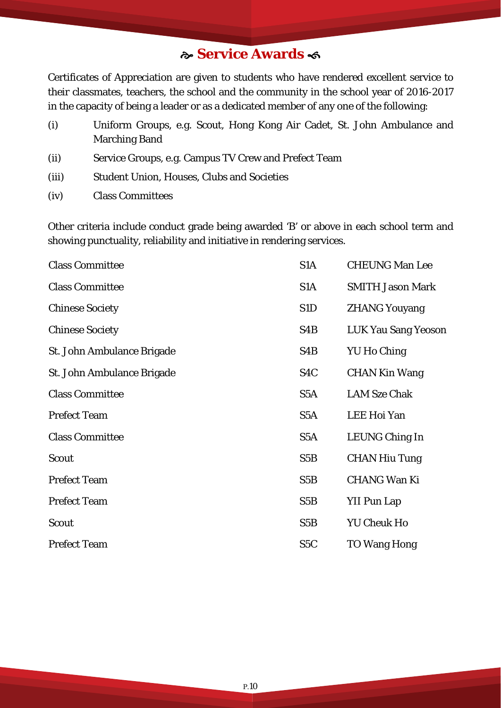### **Service Awards**

Certificates of Appreciation are given to students who have rendered excellent service to their classmates, teachers, the school and the community in the school year of 2016-2017 in the capacity of being a leader or as a dedicated member of any one of the following:

- (i) Uniform Groups, e.g. Scout, Hong Kong Air Cadet, St. John Ambulance and Marching Band
- (ii) Service Groups, e.g. Campus TV Crew and Prefect Team
- (iii) Student Union, Houses, Clubs and Societies
- (iv) Class Committees

Other criteria include conduct grade being awarded 'B' or above in each school term and showing punctuality, reliability and initiative in rendering services.

| <b>Class Committee</b>     | S <sub>1</sub> A | <b>CHEUNG Man Lee</b>      |
|----------------------------|------------------|----------------------------|
| <b>Class Committee</b>     | S <sub>1</sub> A | <b>SMITH Jason Mark</b>    |
| <b>Chinese Society</b>     | S1D              | <b>ZHANG Youyang</b>       |
| <b>Chinese Society</b>     | S <sub>4</sub> B | <b>LUK Yau Sang Yeoson</b> |
| St. John Ambulance Brigade | S4B              | <b>YU Ho Ching</b>         |
| St. John Ambulance Brigade | S4C              | <b>CHAN Kin Wang</b>       |
| <b>Class Committee</b>     | S <sub>5</sub> A | <b>LAM Sze Chak</b>        |
| <b>Prefect Team</b>        | S <sub>5</sub> A | <b>LEE Hoi Yan</b>         |
| <b>Class Committee</b>     | S <sub>5</sub> A | LEUNG Ching In             |
| <b>Scout</b>               | S5B              | <b>CHAN Hiu Tung</b>       |
| <b>Prefect Team</b>        | S5B              | <b>CHANG Wan Ki</b>        |
| <b>Prefect Team</b>        | S <sub>5</sub> B | <b>YII Pun Lap</b>         |
| <b>Scout</b>               | S5B              | <b>YU Cheuk Ho</b>         |
| <b>Prefect Team</b>        | S <sub>5</sub> C | <b>TO Wang Hong</b>        |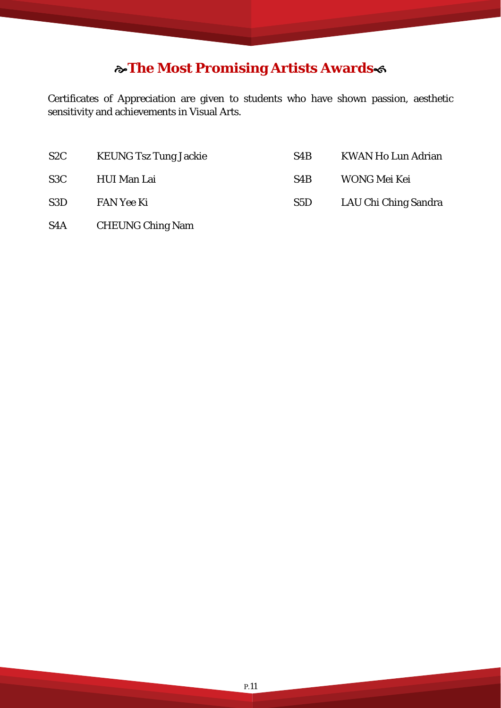### **The Most Promising Artists Awards**

Certificates of Appreciation are given to students who have shown passion, aesthetic sensitivity and achievements in Visual Arts.

| S2C              | <b>KEUNG Tsz Tung Jackie</b> | S4B | <b>KWAN Ho Lun Adrian</b> |
|------------------|------------------------------|-----|---------------------------|
| S3C              | HUI Man Lai                  | S4B | WONG Mei Kei              |
| S <sub>3</sub> D | <b>FAN Yee Ki</b>            | S5D | LAU Chi Ching Sandra      |
|                  |                              |     |                           |

S4A CHEUNG Ching Nam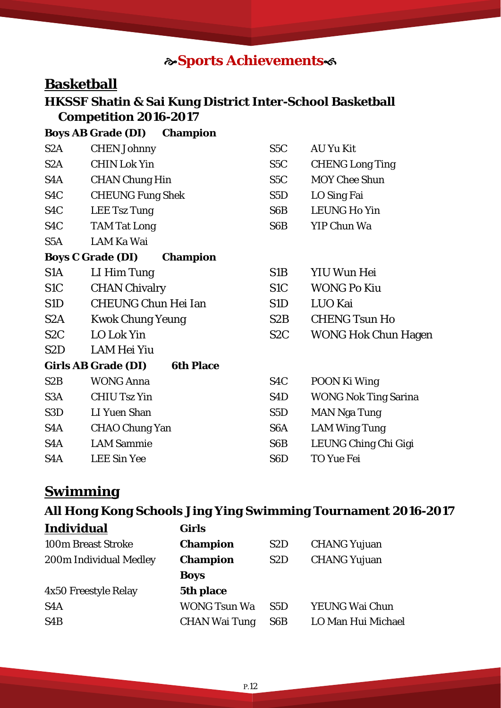### **Sports Achievements**

### **Basketball**

### **HKSSF Shatin & Sai Kung District Inter-School Basketball Competition 2016-2017**

|                  | <b>Boys AB Grade (DI)</b><br><b>Champion</b>   |                  |                             |
|------------------|------------------------------------------------|------------------|-----------------------------|
| S2A              | <b>CHEN Johnny</b>                             | S <sub>5</sub> C | <b>AU Yu Kit</b>            |
| S2A              | <b>CHIN Lok Yin</b>                            | S <sub>5</sub> C | <b>CHENG Long Ting</b>      |
| S4A              | <b>CHAN Chung Hin</b>                          | S5C              | <b>MOY Chee Shun</b>        |
| S <sub>4</sub> C | <b>CHEUNG Fung Shek</b>                        | S5D              | LO Sing Fai                 |
| S <sub>4</sub> C | <b>LEE Tsz Tung</b>                            | S6B              | <b>LEUNG Ho Yin</b>         |
| S <sub>4</sub> C | <b>TAM Tat Long</b>                            | S6B              | <b>YIP Chun Wa</b>          |
| S5A              | <b>LAM Ka Wai</b>                              |                  |                             |
|                  | <b>Boys C Grade (DI)</b><br><b>Champion</b>    |                  |                             |
| S1A              | LI Him Tung                                    | S1B              | YIU Wun Hei                 |
| S <sub>1</sub> C | <b>CHAN Chivalry</b>                           | S <sub>1</sub> C | <b>WONG Po Kiu</b>          |
| S1D              | <b>CHEUNG Chun Hei Ian</b>                     | S1D              | LUO Kai                     |
| S <sub>2</sub> A | <b>Kwok Chung Yeung</b>                        | S2B              | <b>CHENG Tsun Ho</b>        |
| S <sub>2</sub> C | <b>LO Lok Yin</b>                              | S <sub>2</sub> C | <b>WONG Hok Chun Hagen</b>  |
| S <sub>2</sub> D | LAM Hei Yiu                                    |                  |                             |
|                  | <b>Girls AB Grade (DI)</b><br><b>6th Place</b> |                  |                             |
| S2B              | <b>WONG Anna</b>                               | S <sub>4</sub> C | POON Ki Wing                |
| S <sub>3</sub> A | <b>CHIU Tsz Yin</b>                            | S <sub>4</sub> D | <b>WONG Nok Ting Sarina</b> |
| S <sub>3</sub> D | <b>LI Yuen Shan</b>                            | S <sub>5</sub> D | <b>MAN Nga Tung</b>         |
| S4A              | <b>CHAO Chung Yan</b>                          | S <sub>6</sub> A | <b>LAM Wing Tung</b>        |
| S <sub>4</sub> A | <b>LAM Sammie</b>                              | S6B              | LEUNG Ching Chi Gigi        |
| S <sub>4</sub> A | <b>LEE Sin Yee</b>                             | S <sub>6</sub> D | <b>TO Yue Fei</b>           |

### **Swimming**

### **All Hong Kong Schools Jing Ying Swimming Tournament 2016-2017 Individual Girls**

| <b>100m Breast Stroke</b> | <b>Champion</b>      | S <sub>2</sub> D | <b>CHANG Yujuan</b> |
|---------------------------|----------------------|------------------|---------------------|
| 200m Individual Medley    | <b>Champion</b>      | S <sub>2</sub> D | <b>CHANG Yujuan</b> |
|                           | <b>Boys</b>          |                  |                     |
| 4x50 Freestyle Relay      | 5th place            |                  |                     |
| S <sub>4</sub> A          | <b>WONG Tsun Wa</b>  | S5D              | YEUNG Wai Chun      |
| S <sub>4</sub> B          | <b>CHAN Wai Tung</b> | S6B              | LO Man Hui Michael  |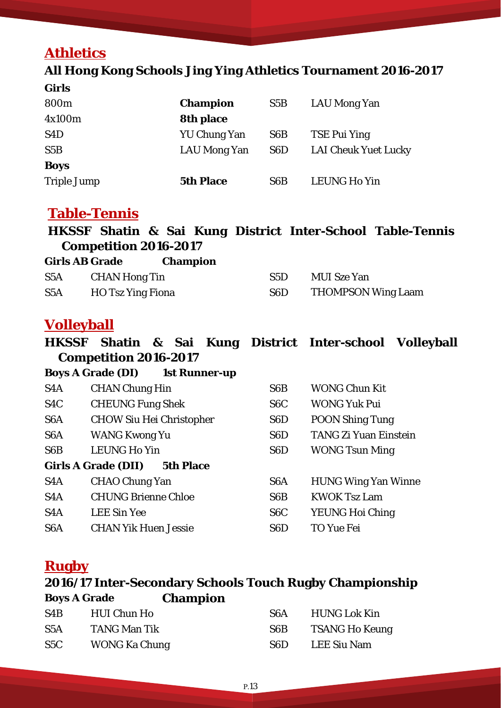### **Athletics**

### **All Hong Kong Schools Jing Ying Athletics Tournament 2016-2017**

| <b>Girls</b>       |                     |                  |                             |
|--------------------|---------------------|------------------|-----------------------------|
| 800m               | <b>Champion</b>     | S5B              | LAU Mong Yan                |
| 4x100m             | <b>8th place</b>    |                  |                             |
| S <sub>4</sub> D   | <b>YU Chung Yan</b> | S <sub>6</sub> B | <b>TSE Pui Ying</b>         |
| S5B                | <b>LAU Mong Yan</b> | S <sub>6</sub> D | <b>LAI Cheuk Yuet Lucky</b> |
| <b>Boys</b>        |                     |                  |                             |
| <b>Triple Jump</b> | <b>5th Place</b>    | S <sub>6</sub> B | <b>LEUNG Ho Yin</b>         |

### **Table-Tennis**

|                              |  |  | HKSSF Shatin & Sai Kung District Inter-School Table-Tennis |
|------------------------------|--|--|------------------------------------------------------------|
| <b>Competition 2016-2017</b> |  |  |                                                            |

| <b>Girls AB Grade</b> |                          | <b>Champion</b> |                  |                           |
|-----------------------|--------------------------|-----------------|------------------|---------------------------|
| S <sub>5</sub> A      | <b>CHAN Hong Tin</b>     |                 | S5D              | <b>MUI</b> Sze Yan        |
| S <sub>5</sub> A      | <b>HO</b> Tsz Ying Fiona |                 | S <sub>6</sub> D | <b>THOMPSON Wing Laam</b> |

### **Volleyball**

**HKSSF Shatin & Sai Kung District Inter-school Volleyball Competition 2016-2017** 

|                  | <b>Boys A Grade (DI)</b><br><b>1st Runner-up</b> |                  |                              |
|------------------|--------------------------------------------------|------------------|------------------------------|
| S <sub>4</sub> A | <b>CHAN Chung Hin</b>                            | S <sub>6</sub> B | <b>WONG Chun Kit</b>         |
| S <sub>4</sub> C | <b>CHEUNG Fung Shek</b>                          | S <sub>6</sub> C | <b>WONG Yuk Pui</b>          |
| S <sub>6</sub> A | <b>CHOW Siu Hei Christopher</b>                  | S <sub>6</sub> D | <b>POON Shing Tung</b>       |
| S <sub>6</sub> A | <b>WANG Kwong Yu</b>                             | S <sub>6</sub> D | <b>TANG Zi Yuan Einstein</b> |
| S <sub>6</sub> B | <b>LEUNG Ho Yin</b>                              | S <sub>6</sub> D | <b>WONG Tsun Ming</b>        |
|                  | <b>Girls A Grade (DII)</b><br><b>5th Place</b>   |                  |                              |
| S <sub>4</sub> A | <b>CHAO Chung Yan</b>                            | S <sub>6</sub> A | <b>HUNG Wing Yan Winne</b>   |
| S <sub>4</sub> A | <b>CHUNG Brienne Chloe</b>                       | S <sub>6</sub> B | <b>KWOK Tsz Lam</b>          |
| S <sub>4</sub> A | <b>LEE Sin Yee</b>                               | S <sub>6</sub> C | <b>YEUNG Hoi Ching</b>       |
| S <sub>6</sub> A | <b>CHAN Yik Huen Jessie</b>                      | S <sub>6</sub> D | TO Yue Fei                   |

### **Rugby**

### **2016/17 Inter-Secondary Schools Touch Rugby Championship Boys A Grade Champion**

| S <sub>4</sub> B | HUI Chun Ho          | S6A    | HUNG Lok Kin   |
|------------------|----------------------|--------|----------------|
| S5A              | TANG Man Tik         | S6B    | TSANG Ho Keung |
| S5C              | <b>WONG Ka Chung</b> | -S6D - | LEE Siu Nam    |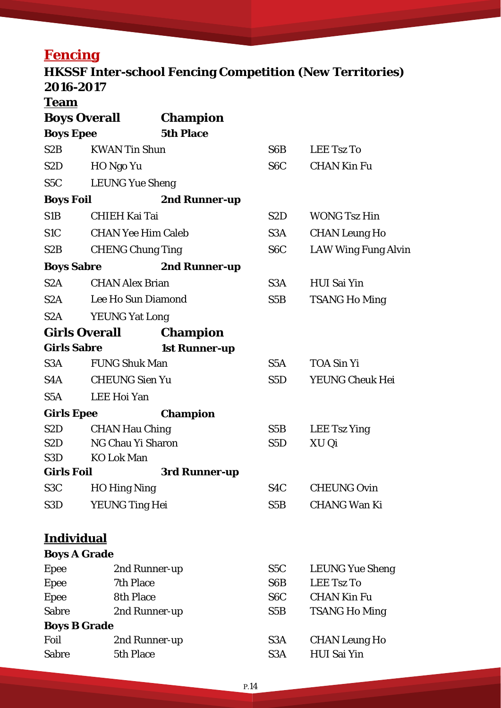# **Fencing**

### **HKSSF Inter-school Fencing Competition (New Territories) 2016-2017**

**Team**

l

|                     |                           | <b>Boys Overall</b> Champion |                                                                                                                                                                                                                                |                            |
|---------------------|---------------------------|------------------------------|--------------------------------------------------------------------------------------------------------------------------------------------------------------------------------------------------------------------------------|----------------------------|
| <b>Boys Epee</b>    |                           | <b>5th Place</b>             |                                                                                                                                                                                                                                |                            |
| S2B                 | <b>KWAN Tin Shun</b>      |                              | S6B                                                                                                                                                                                                                            | <b>LEE Tsz To</b>          |
|                     | S2D HO Ngo Yu             |                              | S6C and the S6C and the S6C and the S6C and the S6C and the S6C and the S6C and the S6C and the S6C and the S6C and the S6C and the S6C and the S6C and the S6C and the S6C and set of Asia and S6C and S6C and S6C and S6C an | <b>CHAN Kin Fu</b>         |
|                     | S5C LEUNG Yue Sheng       |                              |                                                                                                                                                                                                                                |                            |
| <b>Boys Foil</b>    |                           | 2nd Runner-up                |                                                                                                                                                                                                                                |                            |
| S1B                 | <b>CHIEH Kai Tai</b>      |                              | S2D                                                                                                                                                                                                                            | <b>WONG Tsz Hin</b>        |
| S <sub>1</sub> C    | <b>CHAN Yee Him Caleb</b> |                              | S3A                                                                                                                                                                                                                            | <b>CHAN Leung Ho</b>       |
| S2B                 | <b>CHENG Chung Ting</b>   |                              | S6C                                                                                                                                                                                                                            | <b>LAW Wing Fung Alvin</b> |
|                     | <b>Boys Sabre</b>         | 2nd Runner-up                |                                                                                                                                                                                                                                |                            |
|                     | S2A CHAN Alex Brian       |                              | S3A                                                                                                                                                                                                                            | <b>HUI Sai Yin</b>         |
|                     | S2A Lee Ho Sun Diamond    |                              | S5B                                                                                                                                                                                                                            |                            |
|                     |                           |                              |                                                                                                                                                                                                                                | <b>TSANG Ho Ming</b>       |
|                     | S2A YEUNG Yat Long        |                              |                                                                                                                                                                                                                                |                            |
|                     | <b>Girls Overall</b>      | <b>Champion</b>              |                                                                                                                                                                                                                                |                            |
|                     | <b>Girls Sabre</b>        | <b>1st Runner-up</b>         |                                                                                                                                                                                                                                |                            |
|                     | S3A FUNG Shuk Man         |                              | S5A                                                                                                                                                                                                                            | <b>TOA Sin Yi</b>          |
|                     | S4A CHEUNG Sien Yu        |                              | S5D and the S5D and the S5D and the S5D and S5D and S5D and S5D and S5D and S5D and S5D and S5D and S5D and S5D and S5D and S5D and S5D and S5D and S5D and S5D and S5D and S5D and S5D and S5D and S5D and S5D and S5D and S5 | YEUNG Cheuk Hei            |
|                     | S5A LEE Hoi Yan           |                              |                                                                                                                                                                                                                                |                            |
| <b>Girls Epee</b>   |                           | <b>Champion</b>              |                                                                                                                                                                                                                                |                            |
| S2D                 | <b>CHAN Hau Ching</b>     |                              | S5B                                                                                                                                                                                                                            | <b>LEE Tsz Ying</b>        |
| S2D                 | NG Chau Yi Sharon         |                              | S5D                                                                                                                                                                                                                            | XU Qi                      |
|                     | S3D KO Lok Man            |                              |                                                                                                                                                                                                                                |                            |
| <b>Girls Foil</b>   |                           | 3rd Runner-up                |                                                                                                                                                                                                                                |                            |
| S <sub>3</sub> C    | <b>HO Hing Ning</b>       |                              | S4C                                                                                                                                                                                                                            | <b>CHEUNG Ovin</b>         |
| S <sub>3</sub> D    | YEUNG Ting Hei            |                              | S5B                                                                                                                                                                                                                            | <b>CHANG Wan Ki</b>        |
| <b>Individual</b>   |                           |                              |                                                                                                                                                                                                                                |                            |
| <b>Boys A Grade</b> |                           |                              |                                                                                                                                                                                                                                |                            |
| <b>Epee</b>         |                           | 2nd Runner-up                | S5C                                                                                                                                                                                                                            | <b>LEUNG Yue Sheng</b>     |
| <b>Epee</b>         | 7th Place                 |                              | S6B                                                                                                                                                                                                                            | <b>LEE Tsz To</b>          |
| <b>Epee</b>         | <b>8th Place</b>          |                              | S <sub>6</sub> C                                                                                                                                                                                                               | <b>CHAN Kin Fu</b>         |
| <b>Sabre</b>        |                           | 2nd Runner-up                | S5B                                                                                                                                                                                                                            | <b>TSANG Ho Ming</b>       |
| <b>Boys B Grade</b> |                           |                              |                                                                                                                                                                                                                                |                            |
| Foil                |                           | 2nd Runner-up                | S <sub>3</sub> A                                                                                                                                                                                                               | <b>CHAN Leung Ho</b>       |
| <b>Sabre</b>        | 5th Place                 |                              | S <sub>3</sub> A                                                                                                                                                                                                               | <b>HUI Sai Yin</b>         |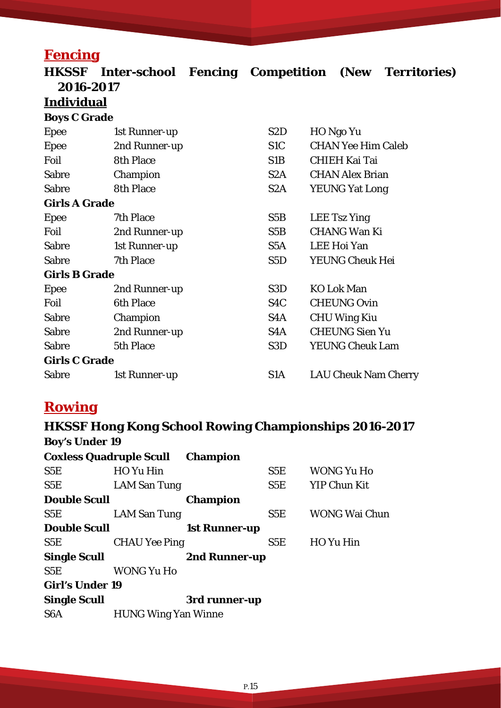### **Fencing**

| <b>HKSSF</b>         | Inter-school Fencing Competition (New Territories) |                  |                             |  |
|----------------------|----------------------------------------------------|------------------|-----------------------------|--|
| 2016-2017            |                                                    |                  |                             |  |
| <u>Individual</u>    |                                                    |                  |                             |  |
| <b>Boys C Grade</b>  |                                                    |                  |                             |  |
| <b>Epee</b>          | 1st Runner-up                                      | S <sub>2</sub> D | HO Ngo Yu                   |  |
| <b>Epee</b>          | 2nd Runner-up                                      | S <sub>1</sub> C | <b>CHAN Yee Him Caleb</b>   |  |
| Foil                 | <b>8th Place</b>                                   | S1B              | <b>CHIEH Kai Tai</b>        |  |
| <b>Sabre</b>         | Champion                                           | S2A              | <b>CHAN Alex Brian</b>      |  |
| <b>Sabre</b>         | <b>8th Place</b>                                   | S <sub>2</sub> A | <b>YEUNG Yat Long</b>       |  |
| <b>Girls A Grade</b> |                                                    |                  |                             |  |
| <b>Epee</b>          | 7th Place                                          | S5B              | <b>LEE Tsz Ying</b>         |  |
| Foil                 | 2nd Runner-up                                      | S5B              | <b>CHANG Wan Ki</b>         |  |
| <b>Sabre</b>         | 1st Runner-up                                      | S5A              | <b>LEE Hoi Yan</b>          |  |
| <b>Sabre</b>         | 7th Place                                          | S <sub>5</sub> D | YEUNG Cheuk Hei             |  |
| <b>Girls B Grade</b> |                                                    |                  |                             |  |
| Epee                 | 2nd Runner-up                                      | S <sub>3</sub> D | <b>KO Lok Man</b>           |  |
| Foil                 | <b>6th Place</b>                                   | S <sub>4</sub> C | <b>CHEUNG Ovin</b>          |  |
| <b>Sabre</b>         | Champion                                           | S4A              | <b>CHU Wing Kiu</b>         |  |
| <b>Sabre</b>         | 2nd Runner-up                                      | S4A              | <b>CHEUNG Sien Yu</b>       |  |
| <b>Sabre</b>         | 5th Place                                          | S <sub>3</sub> D | <b>YEUNG Cheuk Lam</b>      |  |
| <b>Girls C Grade</b> |                                                    |                  |                             |  |
| <b>Sabre</b>         | 1st Runner-up                                      | S1A              | <b>LAU Cheuk Nam Cherry</b> |  |

### **Rowing**

#### **HKSSF Hong Kong School Rowing Championships 2016-2017 Boy's Under 19 Coxless Quadruple Scull Champion** S5E HO Yu Hin S5E WONG Yu Ho S5E LAM San Tung S5E YIP Chun Kit **Double Scull Champion** S5E LAM San Tung S5E WONG Wai Chun **Double Scull 1st Runner-up** S5E CHAU Yee Ping S5E HO Yu Hin **Single Scull 2nd Runner-up** S5E WONG Yu Ho **Girl's Under 19 Single Scull 3rd runner-up** S6A HUNG Wing Yan Winne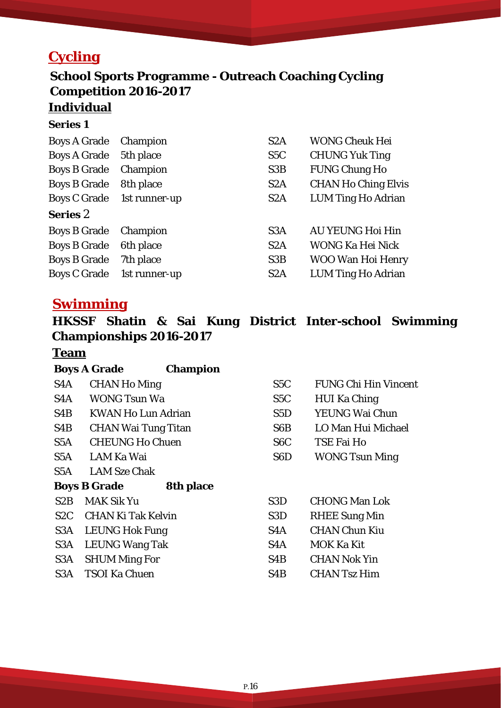### **Cycling**

# **School Sports Programme - Outreach Coaching Cycling Competition 2016-2017**

### **Individual**

#### **Series 1**

| Boys A Grade Champion        |                            | S <sub>2</sub> A | <b>WONG Cheuk Hei</b>      |
|------------------------------|----------------------------|------------------|----------------------------|
| Boys A Grade 5th place       |                            | S <sub>5</sub> C | <b>CHUNG Yuk Ting</b>      |
| <b>Boys B Grade</b> Champion |                            | S <sub>3</sub> B | <b>FUNG Chung Ho</b>       |
| <b>Boys B Grade</b>          | 8th place                  | S <sub>2</sub> A | <b>CHAN Ho Ching Elvis</b> |
|                              | Boys C Grade 1st runner-up | S <sub>2</sub> A | <b>LUM Ting Ho Adrian</b>  |
| <b>Series 2</b>              |                            |                  |                            |
| Boys B Grade Champion        |                            | S <sub>3</sub> A | <b>AU YEUNG Hoi Hin</b>    |
| <b>Boys B Grade</b>          | 6th place                  | S <sub>2</sub> A | WONG Ka Hei Nick           |
| <b>Boys B Grade</b>          | 7th place                  | S <sub>3</sub> B | <b>WOO Wan Hoi Henry</b>   |
|                              | Boys C Grade 1st runner-up | S <sub>2</sub> A | LUM Ting Ho Adrian         |

### **Swimming**

**HKSSF Shatin & Sai Kung District Inter-school Swimming Championships 2016-2017**

#### **Team**

|                  | <b>Boys A Grade</b><br><b>Champion</b>  |                  |                             |
|------------------|-----------------------------------------|------------------|-----------------------------|
| S4A              | <b>CHAN Ho Ming</b>                     | S5C              | <b>FUNG Chi Hin Vincent</b> |
| S <sub>4</sub> A | <b>WONG Tsun Wa</b>                     | S5C              | <b>HUI Ka Ching</b>         |
| S4B              | <b>KWAN Ho Lun Adrian</b>               | S5D              | YEUNG Wai Chun              |
| S4B              | <b>CHAN Wai Tung Titan</b>              | S6B              | LO Man Hui Michael          |
| S5A              | <b>CHEUNG Ho Chuen</b>                  | S <sub>6</sub> C | TSE Fai Ho                  |
| S5A              | LAM Ka Wai                              | S <sub>6</sub> D | <b>WONG Tsun Ming</b>       |
| S5A              | <b>LAM Sze Chak</b>                     |                  |                             |
|                  | <b>8th place</b><br><b>Boys B Grade</b> |                  |                             |
| S2B              | <b>MAK Sik Yu</b>                       | S <sub>3</sub> D | <b>CHONG Man Lok</b>        |
| S2C              | <b>CHAN Ki Tak Kelvin</b>               | S <sub>3</sub> D | <b>RHEE Sung Min</b>        |
| S3A              | <b>LEUNG Hok Fung</b>                   | S <sub>4</sub> A | <b>CHAN Chun Kiu</b>        |
| S3A              | <b>LEUNG Wang Tak</b>                   | S <sub>4</sub> A | <b>MOK Ka Kit</b>           |
| S <sub>3</sub> A | <b>SHUM Ming For</b>                    | S <sub>4</sub> B | <b>CHAN Nok Yin</b>         |
| S3A              | <b>TSOI Ka Chuen</b>                    | S4B              | <b>CHAN Tsz Him</b>         |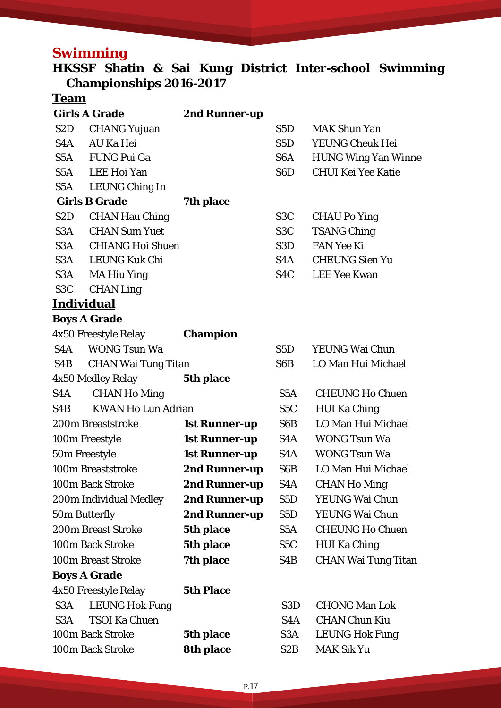### **Swimming**

### **HKSSF Shatin & Sai Kung District Inter-school Swimming Championships 2016-2017**

### **Team**

|                   | <b>Girls A Grade</b>       | 2nd Runner-up        |                  |                            |
|-------------------|----------------------------|----------------------|------------------|----------------------------|
| S <sub>2</sub> D  | <b>CHANG Yujuan</b>        |                      | S5D              | <b>MAK Shun Yan</b>        |
| S4A               | AU Ka Hei                  |                      | S <sub>5</sub> D | <b>YEUNG Cheuk Hei</b>     |
| S5A               | <b>FUNG Pui Ga</b>         |                      | S <sub>6</sub> A | <b>HUNG Wing Yan Winne</b> |
|                   | S5A LEE Hoi Yan            |                      | S <sub>6</sub> D | <b>CHUI Kei Yee Katie</b>  |
| S5A               | <b>LEUNG Ching In</b>      |                      |                  |                            |
|                   | <b>Girls B Grade</b>       | 7th place            |                  |                            |
| S <sub>2</sub> D  | <b>CHAN Hau Ching</b>      |                      | S <sub>3</sub> C | <b>CHAU Po Ying</b>        |
| S3A               | <b>CHAN Sum Yuet</b>       |                      | S <sub>3</sub> C | <b>TSANG Ching</b>         |
| S3A               | <b>CHIANG Hoi Shuen</b>    |                      | S3D              | <b>FAN Yee Ki</b>          |
|                   | S3A LEUNG Kuk Chi          |                      | S <sub>4</sub> A | <b>CHEUNG Sien Yu</b>      |
| S3A               | <b>MA Hiu Ying</b>         |                      | S <sub>4</sub> C | <b>LEE Yee Kwan</b>        |
| S <sub>3</sub> C  | <b>CHAN Ling</b>           |                      |                  |                            |
| <b>Individual</b> |                            |                      |                  |                            |
|                   | <b>Boys A Grade</b>        |                      |                  |                            |
|                   | 4x50 Freestyle Relay       | <b>Champion</b>      |                  |                            |
|                   | S4A WONG Tsun Wa           |                      | S5D              | YEUNG Wai Chun             |
| S4B               | <b>CHAN Wai Tung Titan</b> |                      | S6B              | LO Man Hui Michael         |
|                   | 4x50 Medley Relay          | 5th place            |                  |                            |
| S4A               | <b>CHAN Ho Ming</b>        |                      | S <sub>5</sub> A | <b>CHEUNG Ho Chuen</b>     |
| S4B               | <b>KWAN Ho Lun Adrian</b>  |                      | S <sub>5</sub> C | <b>HUI Ka Ching</b>        |
|                   | 200m Breaststroke          | <b>1st Runner-up</b> | S6B              | LO Man Hui Michael         |
|                   | 100m Freestyle             | <b>1st Runner-up</b> | S4A              | <b>WONG Tsun Wa</b>        |
| 50m Freestyle     |                            | <b>1st Runner-up</b> | S4A              | <b>WONG Tsun Wa</b>        |
|                   | 100m Breaststroke          | 2nd Runner-up        | S6B              | LO Man Hui Michael         |
|                   | 100m Back Stroke           | 2nd Runner-up        | S <sub>4</sub> A | <b>CHAN Ho Ming</b>        |
|                   | 200m Individual Medley     | 2nd Runner-up        | S <sub>5</sub> D | YEUNG Wai Chun             |
| 50m Butterfly     |                            | 2nd Runner-up        | S <sub>5</sub> D | YEUNG Wai Chun             |
|                   | <b>200m Breast Stroke</b>  | 5th place            | S <sub>5</sub> A | <b>CHEUNG Ho Chuen</b>     |
|                   | 100m Back Stroke           | 5th place            | S <sub>5</sub> C | <b>HUI Ka Ching</b>        |
|                   | 100m Breast Stroke         | 7th place            | S4B              | <b>CHAN Wai Tung Titan</b> |
|                   | <b>Boys A Grade</b>        |                      |                  |                            |
|                   | 4x50 Freestyle Relay       | <b>5th Place</b>     |                  |                            |
| S3A               | <b>LEUNG Hok Fung</b>      |                      | S <sub>3</sub> D | <b>CHONG Man Lok</b>       |
| S3A               | <b>TSOI Ka Chuen</b>       |                      | S4A              | <b>CHAN Chun Kiu</b>       |
|                   | 100m Back Stroke           | 5th place            | S3A              | <b>LEUNG Hok Fung</b>      |
|                   | 100m Back Stroke           | <b>8th place</b>     | S <sub>2</sub> B | <b>MAK Sik Yu</b>          |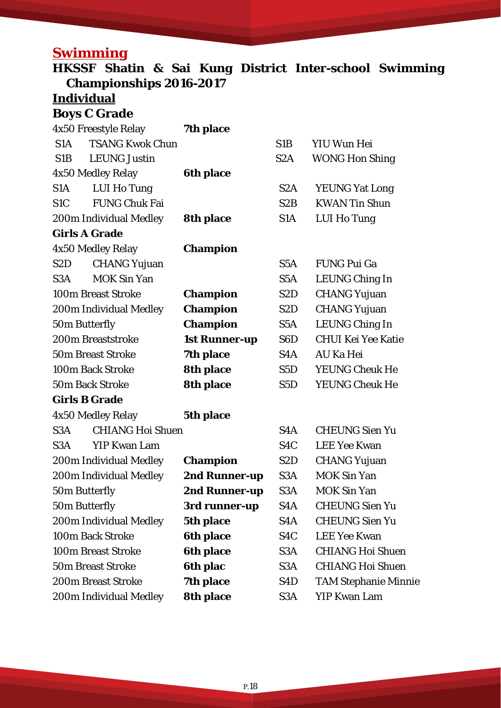### **Swimming**

**HKSSF Shatin & Sai Kung District Inter-school Swimming Championships 2016-2017**

# **Individual**

**Boys C Grade** 

|                   | 4x50 Freestyle Relay      | 7th place            |                  |                             |
|-------------------|---------------------------|----------------------|------------------|-----------------------------|
| S1A               | <b>TSANG Kwok Chun</b>    |                      | S <sub>1</sub> B | <b>YIU Wun Hei</b>          |
| S1B               | <b>LEUNG Justin</b>       |                      | S <sub>2</sub> A | <b>WONG Hon Shing</b>       |
|                   | 4x50 Medley Relay         | <b>6th place</b>     |                  |                             |
| S1A               | LUI Ho Tung               |                      | S <sub>2</sub> A | <b>YEUNG Yat Long</b>       |
| S <sub>1</sub> C  | <b>FUNG Chuk Fai</b>      |                      | S2B              | <b>KWAN Tin Shun</b>        |
|                   | 200m Individual Medley    | 8th place            | S <sub>1</sub> A | <b>LUI Ho Tung</b>          |
|                   | <b>Girls A Grade</b>      |                      |                  |                             |
|                   | 4x50 Medley Relay         | <b>Champion</b>      |                  |                             |
| S <sub>2</sub> D  | <b>CHANG Yujuan</b>       |                      | S5A              | <b>FUNG Pui Ga</b>          |
| S <sub>3</sub> A  | <b>MOK Sin Yan</b>        |                      | S <sub>5</sub> A | <b>LEUNG Ching In</b>       |
|                   | <b>100m Breast Stroke</b> | <b>Champion</b>      | S <sub>2</sub> D | <b>CHANG Yujuan</b>         |
|                   | 200m Individual Medley    | <b>Champion</b>      | S <sub>2</sub> D | <b>CHANG Yujuan</b>         |
|                   | 50m Butterfly             | <b>Champion</b>      | S <sub>5</sub> A | <b>LEUNG Ching In</b>       |
| 200m Breaststroke |                           | <b>1st Runner-up</b> | S <sub>6</sub> D | <b>CHUI Kei Yee Katie</b>   |
|                   | <b>50m Breast Stroke</b>  | 7th place            | S4A              | <b>AU Ka Hei</b>            |
| 100m Back Stroke  |                           | 8th place            | S5D              | <b>YEUNG Cheuk He</b>       |
|                   | <b>50m Back Stroke</b>    | <b>8th place</b>     | S <sub>5</sub> D | <b>YEUNG Cheuk He</b>       |
|                   | <b>Girls B Grade</b>      |                      |                  |                             |
|                   | 4x50 Medley Relay         | 5th place            |                  |                             |
| S <sub>3</sub> A  | <b>CHIANG Hoi Shuen</b>   |                      | S <sub>4</sub> A | <b>CHEUNG Sien Yu</b>       |
| S <sub>3</sub> A  | <b>YIP Kwan Lam</b>       |                      | S <sub>4</sub> C | <b>LEE Yee Kwan</b>         |
|                   | 200m Individual Medley    | <b>Champion</b>      | S2D              | <b>CHANG Yujuan</b>         |
|                   | 200m Individual Medley    | 2nd Runner-up        | S <sub>3</sub> A | <b>MOK Sin Yan</b>          |
|                   | 50m Butterfly             | 2nd Runner-up        | S <sub>3</sub> A | <b>MOK Sin Yan</b>          |
|                   | 50m Butterfly             | 3rd runner-up        | S <sub>4</sub> A | <b>CHEUNG Sien Yu</b>       |
|                   | 200m Individual Medley    | 5th place            | S <sub>4</sub> A | <b>CHEUNG Sien Yu</b>       |
| 100m Back Stroke  |                           | <b>6th place</b>     | S <sub>4</sub> C | <b>LEE Yee Kwan</b>         |
|                   | <b>100m Breast Stroke</b> | <b>6th place</b>     | S <sub>3</sub> A | <b>CHIANG Hoi Shuen</b>     |
|                   | <b>50m Breast Stroke</b>  | <b>6th plac</b>      | S <sub>3</sub> A | <b>CHIANG Hoi Shuen</b>     |
|                   | <b>200m Breast Stroke</b> | 7th place            | S <sub>4</sub> D | <b>TAM Stephanie Minnie</b> |
|                   | 200m Individual Medley    | <b>8th place</b>     | S <sub>3</sub> A | <b>YIP Kwan Lam</b>         |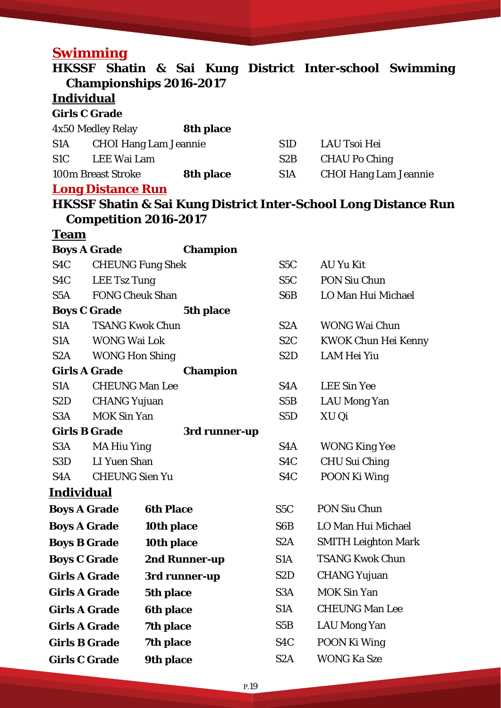# **Swimming**

|                      |                          | HKSSF Shatin & Sai Kung District Inter-school Swimming                     |                  |                              |  |
|----------------------|--------------------------|----------------------------------------------------------------------------|------------------|------------------------------|--|
|                      |                          | <b>Championships 2016-2017</b>                                             |                  |                              |  |
| <b>Individual</b>    |                          |                                                                            |                  |                              |  |
| <b>Girls C Grade</b> |                          |                                                                            |                  |                              |  |
|                      | 4x50 Medley Relay        | <b>8th place</b>                                                           |                  |                              |  |
| S <sub>1</sub> A     |                          | <b>CHOI Hang Lam Jeannie</b>                                               | S1D              | <b>LAU Tsoi Hei</b>          |  |
| S <sub>1</sub> C     | LEE Wai Lam              |                                                                            | S2B              | <b>CHAU Po Ching</b>         |  |
|                      | 100m Breast Stroke       | <b>8th place</b>                                                           | S1A              | <b>CHOI Hang Lam Jeannie</b> |  |
|                      | <b>Long Distance Run</b> |                                                                            |                  |                              |  |
|                      |                          | <b>HKSSF Shatin &amp; Sai Kung District Inter-School Long Distance Run</b> |                  |                              |  |
|                      |                          | <b>Competition 2016-2017</b>                                               |                  |                              |  |
| <b>Team</b>          |                          |                                                                            |                  |                              |  |
| <b>Boys A Grade</b>  |                          | <b>Champion</b>                                                            |                  |                              |  |
| S4C                  |                          | <b>CHEUNG Fung Shek</b>                                                    | S5C              | <b>AU Yu Kit</b>             |  |
|                      | S4C LEE Tsz Tung         |                                                                            | S5C              | <b>PON Siu Chun</b>          |  |
|                      | S5A FONG Cheuk Shan      |                                                                            | S6B              | LO Man Hui Michael           |  |
| <b>Boys C Grade</b>  |                          | 5th place                                                                  |                  |                              |  |
| S1A                  | <b>TSANG Kwok Chun</b>   |                                                                            | S <sub>2</sub> A | <b>WONG Wai Chun</b>         |  |
|                      | S1A WONG Wai Lok         |                                                                            | S2C              | <b>KWOK Chun Hei Kenny</b>   |  |
|                      | S2A WONG Hon Shing       |                                                                            | S <sub>2</sub> D | LAM Hei Yiu                  |  |
|                      | <b>Girls A Grade</b>     | <b>Champion</b>                                                            |                  |                              |  |
| S1A                  | <b>CHEUNG Man Lee</b>    |                                                                            | S4A              | <b>LEE Sin Yee</b>           |  |
| S <sub>2</sub> D     | <b>CHANG Yujuan</b>      |                                                                            | S5B              | <b>LAU Mong Yan</b>          |  |
| S3A                  | <b>MOK Sin Yan</b>       |                                                                            | S <sub>5</sub> D | XU Qi                        |  |
| <b>Girls B Grade</b> |                          | 3rd runner-up                                                              |                  |                              |  |
| S <sub>3</sub> A     | <b>MA Hiu Ying</b>       |                                                                            | S <sub>4</sub> A | <b>WONG King Yee</b>         |  |
| S <sub>3</sub> D     | <b>LI Yuen Shan</b>      |                                                                            | S <sub>4</sub> C | <b>CHU Sui Ching</b>         |  |
| S4A                  | <b>CHEUNG Sien Yu</b>    |                                                                            | S <sub>4</sub> C | POON Ki Wing                 |  |
| <u>Individual</u>    |                          |                                                                            |                  |                              |  |
| <b>Boys A Grade</b>  |                          | <b>6th Place</b>                                                           | S <sub>5</sub> C | PON Siu Chun                 |  |
| <b>Boys A Grade</b>  |                          | 10th place                                                                 | S <sub>6</sub> B | LO Man Hui Michael           |  |
| <b>Boys B Grade</b>  |                          | 10th place                                                                 | S <sub>2</sub> A | <b>SMITH Leighton Mark</b>   |  |
| <b>Boys C Grade</b>  |                          | 2nd Runner-up                                                              | S <sub>1</sub> A | <b>TSANG Kwok Chun</b>       |  |
| <b>Girls A Grade</b> |                          | 3rd runner-up                                                              | S <sub>2</sub> D | <b>CHANG Yujuan</b>          |  |
| <b>Girls A Grade</b> |                          | 5th place                                                                  | S <sub>3</sub> A | <b>MOK Sin Yan</b>           |  |
| <b>Girls A Grade</b> |                          | <b>6th place</b>                                                           | S <sub>1</sub> A | <b>CHEUNG Man Lee</b>        |  |
| <b>Girls A Grade</b> |                          | 7th place                                                                  | S5B              | <b>LAU Mong Yan</b>          |  |
|                      |                          |                                                                            | S <sub>4</sub> C |                              |  |
| <b>Girls B Grade</b> |                          | <b>7th place</b>                                                           |                  | POON Ki Wing                 |  |
| <b>Girls C Grade</b> |                          | 9th place                                                                  | S <sub>2</sub> A | <b>WONG Ka Sze</b>           |  |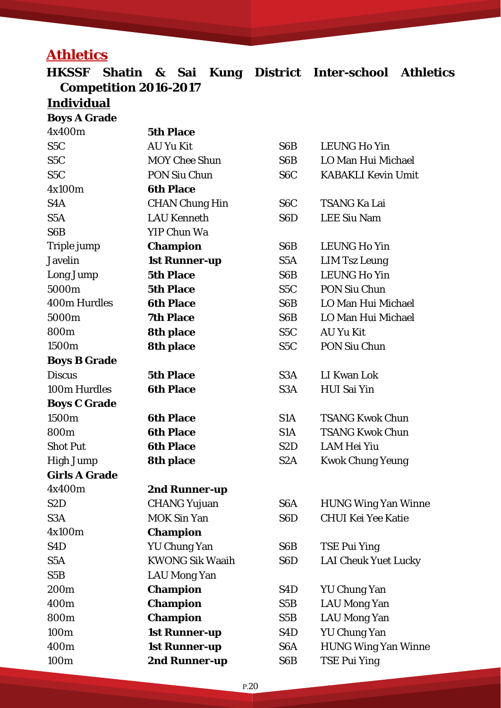# **Athletics**

**HKSSF Shatin & Sai Kung District Inter-school Athletics Competition 2016-2017** 

### **Individual**

**Boys A Grade** 

| 4x400m               | <b>5th Place</b>       |                  |                             |
|----------------------|------------------------|------------------|-----------------------------|
| S <sub>5</sub> C     | <b>AU Yu Kit</b>       | S <sub>6</sub> B | <b>LEUNG Ho Yin</b>         |
| S <sub>5</sub> C     | <b>MOY Chee Shun</b>   | S6B              | LO Man Hui Michael          |
| S <sub>5</sub> C     | <b>PON Siu Chun</b>    | S <sub>6</sub> C | <b>KABAKLI Kevin Umit</b>   |
| 4x100m               | <b>6th Place</b>       |                  |                             |
| S4A                  | <b>CHAN Chung Hin</b>  | S <sub>6</sub> C | <b>TSANG Ka Lai</b>         |
| S <sub>5</sub> A     | <b>LAU Kenneth</b>     | S <sub>6</sub> D | <b>LEE Siu Nam</b>          |
| S <sub>6</sub> B     | <b>YIP Chun Wa</b>     |                  |                             |
| Triple jump          | <b>Champion</b>        | S <sub>6</sub> B | <b>LEUNG Ho Yin</b>         |
| <b>Javelin</b>       | <b>1st Runner-up</b>   | S <sub>5</sub> A | <b>LIM Tsz Leung</b>        |
| Long Jump            | <b>5th Place</b>       | S <sub>6</sub> B | <b>LEUNG Ho Yin</b>         |
| 5000m                | <b>5th Place</b>       | S <sub>5</sub> C | PON Siu Chun                |
| <b>400m Hurdles</b>  | <b>6th Place</b>       | S <sub>6</sub> B | LO Man Hui Michael          |
| 5000m                | <b>7th Place</b>       | S6B              | LO Man Hui Michael          |
| 800m                 | <b>8th place</b>       | S <sub>5</sub> C | <b>AU Yu Kit</b>            |
| 1500m                | 8th place              | S <sub>5</sub> C | <b>PON Siu Chun</b>         |
| <b>Boys B Grade</b>  |                        |                  |                             |
| <b>Discus</b>        | <b>5th Place</b>       | S <sub>3</sub> A | LI Kwan Lok                 |
| 100m Hurdles         | <b>6th Place</b>       | S <sub>3</sub> A | <b>HUI Sai Yin</b>          |
| <b>Boys C Grade</b>  |                        |                  |                             |
| 1500m                | <b>6th Place</b>       | S <sub>1</sub> A | <b>TSANG Kwok Chun</b>      |
| 800m                 | <b>6th Place</b>       | S <sub>1</sub> A | <b>TSANG Kwok Chun</b>      |
| <b>Shot Put</b>      | <b>6th Place</b>       | S <sub>2</sub> D | <b>LAM Hei Yiu</b>          |
| <b>High Jump</b>     | <b>8th place</b>       | S <sub>2</sub> A | <b>Kwok Chung Yeung</b>     |
| <b>Girls A Grade</b> |                        |                  |                             |
| 4x400m               | 2nd Runner-up          |                  |                             |
| S2D                  | <b>CHANG Yujuan</b>    | S <sub>6</sub> A | <b>HUNG Wing Yan Winne</b>  |
| S <sub>3</sub> A     | <b>MOK Sin Yan</b>     | S <sub>6</sub> D | <b>CHUI Kei Yee Katie</b>   |
| 4x100m               | <b>Champion</b>        |                  |                             |
| S <sub>4</sub> D     | <b>YU Chung Yan</b>    | S6B              | <b>TSE Pui Ying</b>         |
| S <sub>5</sub> A     | <b>KWONG Sik Waaih</b> | S <sub>6</sub> D | <b>LAI Cheuk Yuet Lucky</b> |
| S <sub>5</sub> B     | <b>LAU Mong Yan</b>    |                  |                             |
| 200 <sub>m</sub>     | <b>Champion</b>        | S <sub>4</sub> D | <b>YU Chung Yan</b>         |
| 400m                 | <b>Champion</b>        | S5B              | <b>LAU Mong Yan</b>         |
| 800m                 | <b>Champion</b>        | S5B              | <b>LAU Mong Yan</b>         |
| 100m                 | <b>1st Runner-up</b>   | S <sub>4</sub> D | <b>YU Chung Yan</b>         |
| 400m                 | <b>1st Runner-up</b>   | S <sub>6</sub> A | <b>HUNG Wing Yan Winne</b>  |
| 100m                 | 2nd Runner-up          | S6B              | <b>TSE Pui Ying</b>         |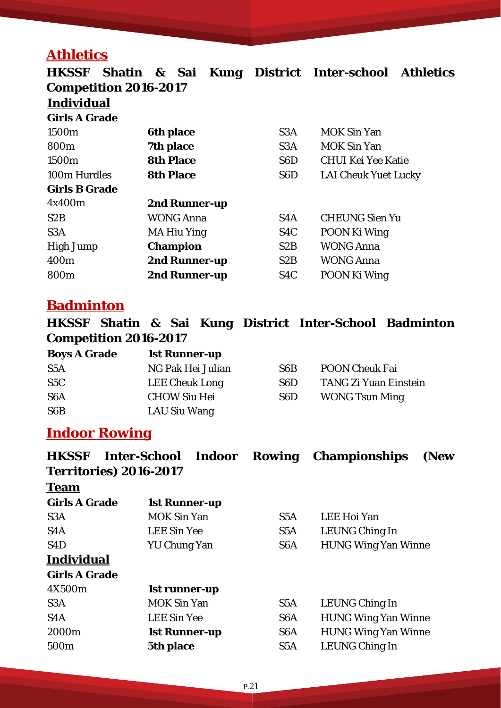### **Athletics**

**HKSSF Shatin & Sai Kung District Inter-school Athletics Competition 2016-2017 Individual Girls A Grade** 1500m 6th place S3A MOK Sin Yan 800m **7th place** S3A MOK Sin Yan 1500m **8th Place** S6D CHUI Kei Yee Katie 100m Hurdles **8th Place** S6D LAI Cheuk Yuet Lucky **Girls B Grade** 4x400m **2nd Runner-up**  S2B WONG Anna S4A CHEUNG Sien Yu S3A MA Hiu Ying S4C POON Ki Wing High Jump **Champion** S2B WONG Anna 400m **2nd Runner-up** S2B WONG Anna 800m **2nd Runner-up** S4C POON Ki Wing

#### **Badminton**

**HKSSF Shatin & Sai Kung District Inter-School Badminton Competition 2016-2017** 

| <b>Boys A Grade</b> | <b>1st Runner-up</b>  |                  |                       |
|---------------------|-----------------------|------------------|-----------------------|
| S <sub>5</sub> A    | NG Pak Hei Julian     | S <sub>6</sub> B | <b>POON Cheuk Fai</b> |
| S5C                 | <b>LEE Cheuk Long</b> | S <sub>6</sub> D | TANG Zi Yuan Einstein |
| S <sub>6</sub> A    | <b>CHOW Siu Hei</b>   | S <sub>6</sub> D | <b>WONG Tsun Ming</b> |
| S <sub>6</sub> B    | LAU Siu Wang          |                  |                       |

#### **Indoor Rowing**

| <b>HKSSF</b>         | <b>Inter-School</b><br>Indoor<br>Territories) 2016-2017 | Rowing           | <b>Championships</b><br>(New |  |  |
|----------------------|---------------------------------------------------------|------------------|------------------------------|--|--|
| <b>Team</b>          |                                                         |                  |                              |  |  |
| <b>Girls A Grade</b> | <b>1st Runner-up</b>                                    |                  |                              |  |  |
| S <sub>3</sub> A     | <b>MOK Sin Yan</b>                                      | S5A              | LEE Hoi Yan                  |  |  |
| S <sub>4</sub> A     | <b>LEE Sin Yee</b>                                      | S <sub>5</sub> A | LEUNG Ching In               |  |  |
| S <sub>4</sub> D     | YU Chung Yan                                            | S <sub>6</sub> A | <b>HUNG Wing Yan Winne</b>   |  |  |
| <b>Individual</b>    |                                                         |                  |                              |  |  |
| <b>Girls A Grade</b> |                                                         |                  |                              |  |  |
| 4X500m               | 1st runner-up                                           |                  |                              |  |  |
| S <sub>3</sub> A     | <b>MOK Sin Yan</b>                                      | S <sub>5</sub> A | LEUNG Ching In               |  |  |
| S4A                  | <b>LEE Sin Yee</b>                                      | S <sub>6</sub> A | <b>HUNG Wing Yan Winne</b>   |  |  |
| 2000m                | <b>1st Runner-up</b>                                    | S <sub>6</sub> A | <b>HUNG Wing Yan Winne</b>   |  |  |
| 500m                 | 5th place                                               | S <sub>5</sub> A | <b>LEUNG Ching In</b>        |  |  |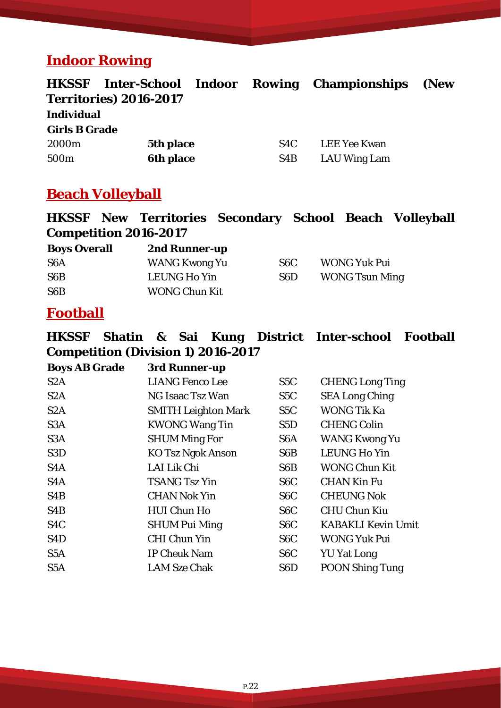### **Indoor Rowing**

| <b>HKSSF</b>         | Inter-School Indoor           |                  | <b>Rowing Championships</b> | (New |
|----------------------|-------------------------------|------------------|-----------------------------|------|
|                      | <b>Territories) 2016-2017</b> |                  |                             |      |
| <b>Individual</b>    |                               |                  |                             |      |
| <b>Girls B Grade</b> |                               |                  |                             |      |
| 2000 <sub>m</sub>    | 5th place                     | S4C              | <b>LEE Yee Kwan</b>         |      |
| 500 <sub>m</sub>     | <b>6th place</b>              | S <sub>4</sub> B | <b>LAU Wing Lam</b>         |      |
|                      |                               |                  |                             |      |

### **Beach Volleyball**

### **HKSSF New Territories Secondary School Beach Volleyball Competition 2016-2017**

| <b>Boys Overall</b> | 2nd Runner-up        |     |                       |
|---------------------|----------------------|-----|-----------------------|
| S <sub>6</sub> A    | WANG Kwong Yu        | S6C | <b>WONG Yuk Pui</b>   |
| S6B                 | LEUNG Ho Yin         | S6D | <b>WONG Tsun Ming</b> |
| S <sub>6</sub> B    | <b>WONG Chun Kit</b> |     |                       |

### **Football**

**HKSSF Shatin & Sai Kung District Inter-school Football Competition (Division 1) 2016-2017**

| <b>Boys AB Grade</b> | 3rd Runner-up              |                  |                           |
|----------------------|----------------------------|------------------|---------------------------|
| S <sub>2</sub> A     | <b>LIANG Fenco Lee</b>     | S5C              | <b>CHENG Long Ting</b>    |
| S2A                  | NG Isaac Tsz Wan           | S5C              | <b>SEA Long Ching</b>     |
| S <sub>2</sub> A     | <b>SMITH Leighton Mark</b> | S <sub>5</sub> C | <b>WONG Tik Ka</b>        |
| S <sub>3</sub> A     | <b>KWONG Wang Tin</b>      | S5D              | <b>CHENG Colin</b>        |
| S <sub>3</sub> A     | <b>SHUM Ming For</b>       | S <sub>6</sub> A | <b>WANG Kwong Yu</b>      |
| S <sub>3</sub> D     | <b>KO Tsz Ngok Anson</b>   | S6B              | <b>LEUNG Ho Yin</b>       |
| S <sub>4</sub> A     | LAI Lik Chi                | S6B              | <b>WONG Chun Kit</b>      |
| S <sub>4</sub> A     | <b>TSANG Tsz Yin</b>       | S <sub>6</sub> C | <b>CHAN Kin Fu</b>        |
| S <sub>4</sub> B     | <b>CHAN Nok Yin</b>        | S6C              | <b>CHEUNG Nok</b>         |
| S <sub>4</sub> B     | <b>HUI Chun Ho</b>         | S <sub>6</sub> C | <b>CHU Chun Kiu</b>       |
| S <sub>4</sub> C     | <b>SHUM Pui Ming</b>       | S <sub>6</sub> C | <b>KABAKLI Kevin Umit</b> |
| S <sub>4</sub> D     | <b>CHI Chun Yin</b>        | S <sub>6</sub> C | <b>WONG Yuk Pui</b>       |
| S <sub>5</sub> A     | <b>IP Cheuk Nam</b>        | S <sub>6</sub> C | <b>YU Yat Long</b>        |
| S <sub>5</sub> A     | <b>LAM Sze Chak</b>        | S <sub>6</sub> D | <b>POON Shing Tung</b>    |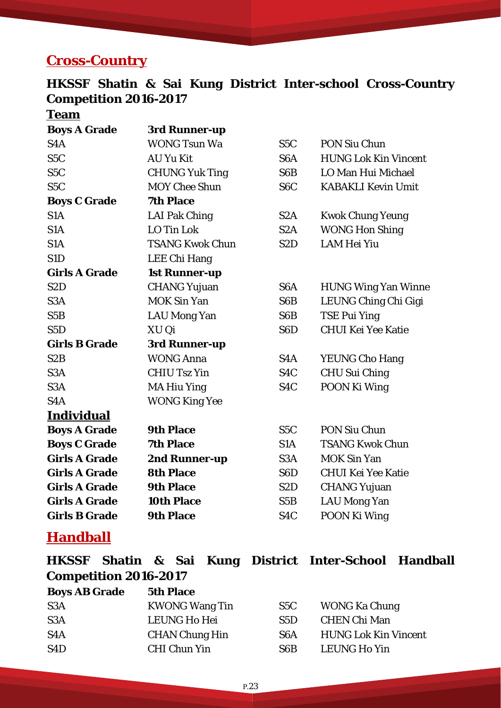### **Cross-Country**

### **HKSSF Shatin & Sai Kung District Inter-school Cross-Country Competition 2016-2017**

**Team**

| <b>Boys A Grade</b>  | 3rd Runner-up          |                  |                             |
|----------------------|------------------------|------------------|-----------------------------|
| S <sub>4</sub> A     | <b>WONG Tsun Wa</b>    | S5C              | PON Siu Chun                |
| S <sub>5</sub> C     | <b>AU Yu Kit</b>       | S <sub>6</sub> A | <b>HUNG Lok Kin Vincent</b> |
| S <sub>5</sub> C     | <b>CHUNG Yuk Ting</b>  | S6B              | LO Man Hui Michael          |
| S <sub>5</sub> C     | <b>MOY Chee Shun</b>   | S <sub>6</sub> C | <b>KABAKLI Kevin Umit</b>   |
| <b>Boys C Grade</b>  | <b>7th Place</b>       |                  |                             |
| S <sub>1</sub> A     | LAI Pak Ching          | S <sub>2</sub> A | <b>Kwok Chung Yeung</b>     |
| S <sub>1</sub> A     | LO Tin Lok             | S <sub>2</sub> A | <b>WONG Hon Shing</b>       |
| S <sub>1</sub> A     | <b>TSANG Kwok Chun</b> | S <sub>2</sub> D | <b>LAM Hei Yiu</b>          |
| S1D                  | LEE Chi Hang           |                  |                             |
| <b>Girls A Grade</b> | <b>1st Runner-up</b>   |                  |                             |
| S <sub>2</sub> D     | <b>CHANG Yujuan</b>    | S <sub>6</sub> A | <b>HUNG Wing Yan Winne</b>  |
| S <sub>3</sub> A     | <b>MOK Sin Yan</b>     | S6B              | LEUNG Ching Chi Gigi        |
| S5B                  | <b>LAU Mong Yan</b>    | S6B              | <b>TSE Pui Ying</b>         |
| S <sub>5</sub> D     | XU Qi                  | S <sub>6</sub> D | <b>CHUI Kei Yee Katie</b>   |
| <b>Girls B Grade</b> | 3rd Runner-up          |                  |                             |
| S <sub>2</sub> B     | <b>WONG Anna</b>       | S <sub>4</sub> A | <b>YEUNG Cho Hang</b>       |
| S <sub>3</sub> A     | <b>CHIU Tsz Yin</b>    | S <sub>4</sub> C | <b>CHU Sui Ching</b>        |
| S <sub>3</sub> A     | <b>MA Hiu Ying</b>     | S <sub>4</sub> C | POON Ki Wing                |
| S <sub>4</sub> A     | <b>WONG King Yee</b>   |                  |                             |
| <b>Individual</b>    |                        |                  |                             |
| <b>Boys A Grade</b>  | <b>9th Place</b>       | S <sub>5</sub> C | <b>PON Siu Chun</b>         |
| <b>Boys C Grade</b>  | <b>7th Place</b>       | S <sub>1</sub> A | <b>TSANG Kwok Chun</b>      |
| <b>Girls A Grade</b> | 2nd Runner-up          | S <sub>3</sub> A | <b>MOK Sin Yan</b>          |
| <b>Girls A Grade</b> | <b>8th Place</b>       | S <sub>6</sub> D | <b>CHUI Kei Yee Katie</b>   |
| <b>Girls A Grade</b> | <b>9th Place</b>       | S <sub>2</sub> D | <b>CHANG Yujuan</b>         |
| <b>Girls A Grade</b> | <b>10th Place</b>      | S5B              | <b>LAU Mong Yan</b>         |
| <b>Girls B Grade</b> | <b>9th Place</b>       | S4C              | POON Ki Wing                |

### **Handball**

|                              |  |  | HKSSF Shatin & Sai Kung District Inter-School Handball |  |
|------------------------------|--|--|--------------------------------------------------------|--|
| <b>Competition 2016-2017</b> |  |  |                                                        |  |

| <b>Boys AB Grade</b> | <b>5th Place</b>      |      |                             |
|----------------------|-----------------------|------|-----------------------------|
| S <sub>3</sub> A     | <b>KWONG Wang Tin</b> | S5C  | <b>WONG Ka Chung</b>        |
| S <sub>3</sub> A     | <b>LEUNG Ho Hei</b>   | S5D. | <b>CHEN Chi Man</b>         |
| S <sub>4</sub> A     | <b>CHAN Chung Hin</b> | S6A  | <b>HUNG Lok Kin Vincent</b> |
| S <sub>4</sub> D     | <b>CHI Chun Yin</b>   | S6B  | <b>LEUNG Ho Yin</b>         |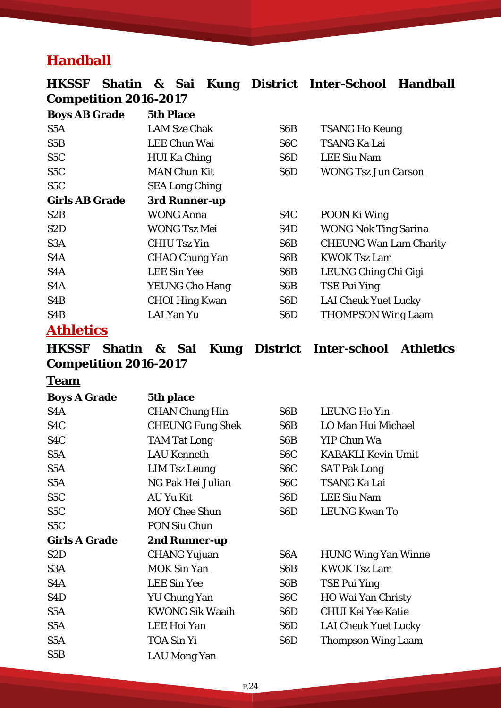### **Handball**

| <b>HKSSF</b>                 |  |                  |                       |                       |                  | Shatin & Sai Kung District Inter-School Handball |  |  |  |
|------------------------------|--|------------------|-----------------------|-----------------------|------------------|--------------------------------------------------|--|--|--|
| <b>Competition 2016-2017</b> |  |                  |                       |                       |                  |                                                  |  |  |  |
| <b>Boys AB Grade</b>         |  | <b>5th Place</b> |                       |                       |                  |                                                  |  |  |  |
| S <sub>5</sub> A             |  |                  | <b>LAM Sze Chak</b>   |                       | S <sub>6</sub> B | <b>TSANG Ho Keung</b>                            |  |  |  |
| S5B                          |  |                  | <b>LEE Chun Wai</b>   |                       | S <sub>6</sub> C | <b>TSANG Ka Lai</b>                              |  |  |  |
| S <sub>5</sub> C             |  |                  | <b>HUI Ka Ching</b>   |                       | S6D              | <b>LEE Siu Nam</b>                               |  |  |  |
| S <sub>5</sub> C             |  |                  | <b>MAN Chun Kit</b>   |                       | S <sub>6</sub> D | <b>WONG Tsz Jun Carson</b>                       |  |  |  |
| S <sub>5</sub> C             |  |                  | <b>SEA Long Ching</b> |                       |                  |                                                  |  |  |  |
| <b>Girls AB Grade</b>        |  |                  | 3rd Runner-up         |                       |                  |                                                  |  |  |  |
| S <sub>2</sub> B             |  |                  | <b>WONG Anna</b>      |                       | S <sub>4</sub> C | POON Ki Wing                                     |  |  |  |
| S <sub>2</sub> D             |  |                  | <b>WONG Tsz Mei</b>   |                       | S4D              | <b>WONG Nok Ting Sarina</b>                      |  |  |  |
| S <sub>3</sub> A             |  |                  | <b>CHIU Tsz Yin</b>   |                       | S <sub>6</sub> B | <b>CHEUNG Wan Lam Charity</b>                    |  |  |  |
| S4A                          |  |                  | <b>CHAO Chung Yan</b> |                       | S <sub>6</sub> B | <b>KWOK Tsz Lam</b>                              |  |  |  |
| S <sub>4</sub> A             |  |                  | <b>LEE Sin Yee</b>    |                       | S <sub>6</sub> B | LEUNG Ching Chi Gigi                             |  |  |  |
| S <sub>4</sub> A             |  |                  |                       | <b>YEUNG Cho Hang</b> | S6B              | <b>TSE Pui Ying</b>                              |  |  |  |
| S <sub>4</sub> B             |  |                  | <b>CHOI Hing Kwan</b> |                       | S <sub>6</sub> D | <b>LAI Cheuk Yuet Lucky</b>                      |  |  |  |
| S <sub>4</sub> B             |  |                  | <b>LAI Yan Yu</b>     |                       | S <sub>6</sub> D | <b>THOMPSON Wing Laam</b>                        |  |  |  |
| <b>Athletics</b>             |  |                  |                       |                       |                  |                                                  |  |  |  |

#### **HKSSF Shatin & Sai Kung District Inter-school Athletics Competition 2016-2017**

#### **Team**

**Boys A Grade 5th place**  S4A CHAN Chung Hin S6B LEUNG Ho Yin S4C CHEUNG Fung Shek S6B LO Man Hui Michael S4C TAM Tat Long S6B YIP Chun Wa S5A LAU Kenneth S6C KABAKLI Kevin Umit S5A LIM Tsz Leung S6C SAT Pak Long S5A NG Pak Hei Julian S6C TSANG Ka Lai S5C AU Yu Kit S6D LEE Siu Nam S5C MOY Chee Shun S6D LEUNG Kwan To S5C PON Siu Chun **Girls A Grade 2nd Runner-up**  S2D CHANG Yujuan S6A HUNG Wing Yan Winne S3A MOK Sin Yan S6B KWOK Tsz Lam S4A LEE Sin Yee S6B TSE Pui Ying S4D YU Chung Yan S6C HO Wai Yan Christy S5A KWONG Sik Waaih S6D CHUI Kei Yee Katie S5A LEE Hoi Yan S6D LAI Cheuk Yuet Lucky S5A TOA Sin Yi S6D Thompson Wing Laam S5B LAU Mong Yan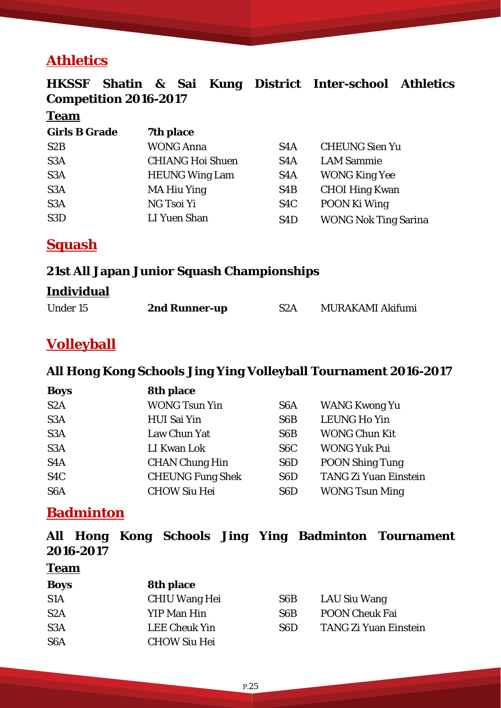### **Athletics**

### **HKSSF Shatin & Sai Kung District Inter-school Athletics Competition 2016-2017**

#### **Team**

| <b>Girls B Grade</b> | 7th place               |                  |                             |
|----------------------|-------------------------|------------------|-----------------------------|
| S <sub>2</sub> B     | <b>WONG Anna</b>        | S <sub>4</sub> A | <b>CHEUNG Sien Yu</b>       |
| S <sub>3</sub> A     | <b>CHIANG Hoi Shuen</b> | S <sub>4</sub> A | <b>LAM Sammie</b>           |
| S <sub>3</sub> A     | <b>HEUNG Wing Lam</b>   | S <sub>4</sub> A | <b>WONG King Yee</b>        |
| S <sub>3</sub> A     | <b>MA Hiu Ying</b>      | S4B              | <b>CHOI Hing Kwan</b>       |
| S <sub>3</sub> A     | NG Tsoi Yi              | S <sub>4</sub> C | POON Ki Wing                |
| S <sub>3</sub> D     | LI Yuen Shan            | S <sub>4</sub> D | <b>WONG Nok Ting Sarina</b> |

**Squash**

#### **21st All Japan Junior Squash Championships**

#### **Individual**

| <b>Under 15</b><br>2nd Runner-up | S <sub>2</sub> A | MURAKAMI Akifumi |
|----------------------------------|------------------|------------------|
|----------------------------------|------------------|------------------|

### **Volleyball**

#### **All Hong Kong Schools Jing Ying Volleyball Tournament 2016-2017**

| <b>Boys</b>      | 8th place               |                  |                              |
|------------------|-------------------------|------------------|------------------------------|
| S <sub>2</sub> A | <b>WONG Tsun Yin</b>    | S <sub>6</sub> A | <b>WANG Kwong Yu</b>         |
| S <sub>3</sub> A | <b>HUI Sai Yin</b>      | S <sub>6</sub> B | <b>LEUNG Ho Yin</b>          |
| S <sub>3</sub> A | Law Chun Yat            | S <sub>6</sub> B | <b>WONG Chun Kit</b>         |
| S <sub>3</sub> A | LI Kwan Lok             | S <sub>6</sub> C | <b>WONG Yuk Pui</b>          |
| S <sub>4</sub> A | <b>CHAN Chung Hin</b>   | S <sub>6</sub> D | <b>POON Shing Tung</b>       |
| S <sub>4</sub> C | <b>CHEUNG Fung Shek</b> | S <sub>6</sub> D | <b>TANG Zi Yuan Einstein</b> |
| S <sub>6</sub> A | <b>CHOW Siu Hei</b>     | S <sub>6</sub> D | <b>WONG Tsun Ming</b>        |

### **Badminton**

|           |  |  | All Hong Kong Schools Jing Ying Badminton Tournament |
|-----------|--|--|------------------------------------------------------|
| 2016-2017 |  |  |                                                      |

### **Team**

| <b>Boys</b>      | <b>8th place</b>     |                  |                       |
|------------------|----------------------|------------------|-----------------------|
| S <sub>1</sub> A | <b>CHIU Wang Hei</b> | S6B              | LAU Siu Wang          |
| S2A              | YIP Man Hin          | S <sub>6</sub> B | <b>POON Cheuk Fai</b> |
| S <sub>3</sub> A | <b>LEE Cheuk Yin</b> | S6D              | TANG Zi Yuan Einstein |
| S <sub>6</sub> A | <b>CHOW Siu Hei</b>  |                  |                       |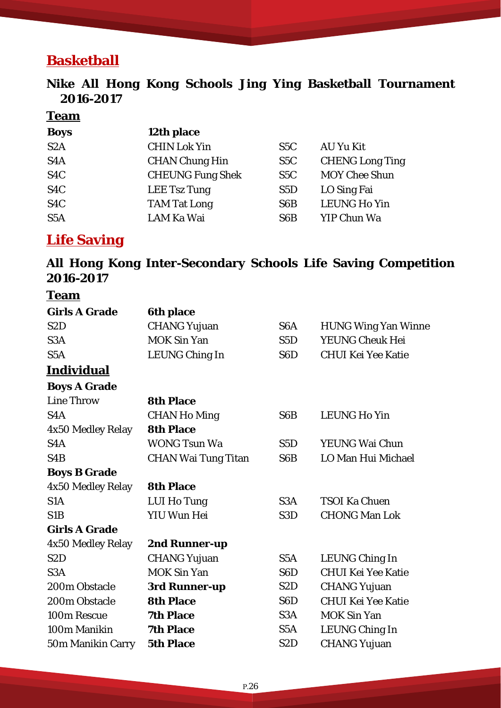# **Basketball**

#### **Nike All Hong Kong Schools Jing Ying Basketball Tournament 2016-2017**

#### **Team**

| <b>Boys</b>      | 12th place              |                  |                        |
|------------------|-------------------------|------------------|------------------------|
| S <sub>2</sub> A | <b>CHIN Lok Yin</b>     | S <sub>5</sub> C | AU Yu Kit              |
| S <sub>4</sub> A | <b>CHAN Chung Hin</b>   | S <sub>5</sub> C | <b>CHENG Long Ting</b> |
| S <sub>4</sub> C | <b>CHEUNG Fung Shek</b> | S <sub>5</sub> C | <b>MOY Chee Shun</b>   |
| S <sub>4</sub> C | LEE Tsz Tung            | S5D              | LO Sing Fai            |
| S <sub>4</sub> C | <b>TAM Tat Long</b>     | S <sub>6</sub> B | <b>LEUNG Ho Yin</b>    |
| S <sub>5</sub> A | LAM Ka Wai              | S <sub>6</sub> B | YIP Chun Wa            |

### **Life Saving**

### **All Hong Kong Inter-Secondary Schools Life Saving Competition 2016-2017**

#### **Team**

| <b>Girls A Grade</b> | <b>6th place</b>           |                  |                            |
|----------------------|----------------------------|------------------|----------------------------|
| S <sub>2</sub> D     | <b>CHANG Yujuan</b>        | S <sub>6</sub> A | <b>HUNG Wing Yan Winne</b> |
| S <sub>3</sub> A     | <b>MOK Sin Yan</b>         | S <sub>5</sub> D | <b>YEUNG Cheuk Hei</b>     |
| S <sub>5</sub> A     | <b>LEUNG Ching In</b>      | S <sub>6</sub> D | <b>CHUI Kei Yee Katie</b>  |
| <u>Individual</u>    |                            |                  |                            |
| <b>Boys A Grade</b>  |                            |                  |                            |
| <b>Line Throw</b>    | <b>8th Place</b>           |                  |                            |
| S <sub>4</sub> A     | <b>CHAN Ho Ming</b>        | S <sub>6</sub> B | <b>LEUNG Ho Yin</b>        |
| 4x50 Medley Relay    | <b>8th Place</b>           |                  |                            |
| S <sub>4</sub> A     | <b>WONG Tsun Wa</b>        | S5D              | <b>YEUNG Wai Chun</b>      |
| S <sub>4</sub> B     | <b>CHAN Wai Tung Titan</b> | S <sub>6</sub> B | LO Man Hui Michael         |
| <b>Boys B Grade</b>  |                            |                  |                            |
| 4x50 Medley Relay    | <b>8th Place</b>           |                  |                            |
| S <sub>1</sub> A     | <b>LUI Ho Tung</b>         | S <sub>3</sub> A | <b>TSOI Ka Chuen</b>       |
| S <sub>1</sub> B     | <b>YIU Wun Hei</b>         | S <sub>3</sub> D | <b>CHONG Man Lok</b>       |
| <b>Girls A Grade</b> |                            |                  |                            |
| 4x50 Medley Relay    | 2nd Runner-up              |                  |                            |
| S <sub>2</sub> D     | <b>CHANG Yujuan</b>        | S <sub>5</sub> A | <b>LEUNG Ching In</b>      |
| S <sub>3</sub> A     | <b>MOK Sin Yan</b>         | S <sub>6</sub> D | <b>CHUI Kei Yee Katie</b>  |
| 200m Obstacle        | 3rd Runner-up              | S <sub>2</sub> D | <b>CHANG Yujuan</b>        |
| 200m Obstacle        | <b>8th Place</b>           | S <sub>6</sub> D | <b>CHUI Kei Yee Katie</b>  |
| 100m Rescue          | <b>7th Place</b>           | S <sub>3</sub> A | <b>MOK Sin Yan</b>         |
| 100m Manikin         | <b>7th Place</b>           | S <sub>5</sub> A | <b>LEUNG Ching In</b>      |
| 50m Manikin Carry    | <b>5th Place</b>           | S <sub>2</sub> D | <b>CHANG Yujuan</b>        |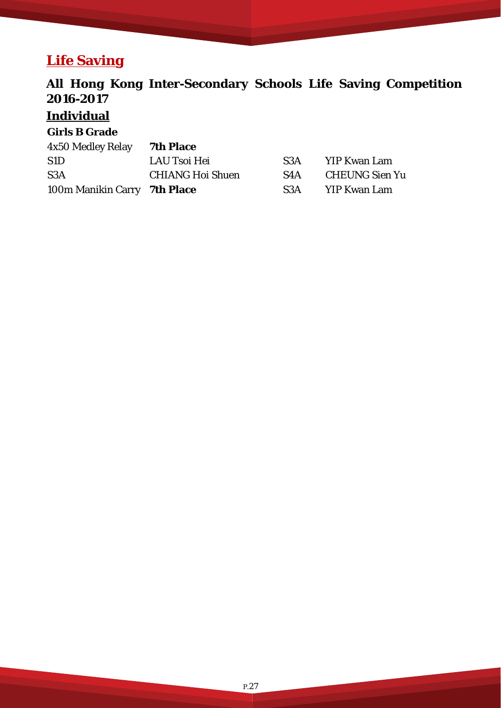# **Life Saving**

### **All Hong Kong Inter-Secondary Schools Life Saving Competition 2016-2017**

### **Individual**

#### **Girls B Grade**

| 4x50 Medley Relay            | <b>7th Place</b>        |     |                |
|------------------------------|-------------------------|-----|----------------|
| S <sub>1</sub> D             | LAU Tsoi Hei            | S3A | YIP Kwan Lam   |
| S <sub>3</sub> A             | <b>CHIANG Hoi Shuen</b> | S4A | CHEUNG Sien Yu |
| 100m Manikin Carry 7th Place |                         | S3A | YIP Kwan Lam   |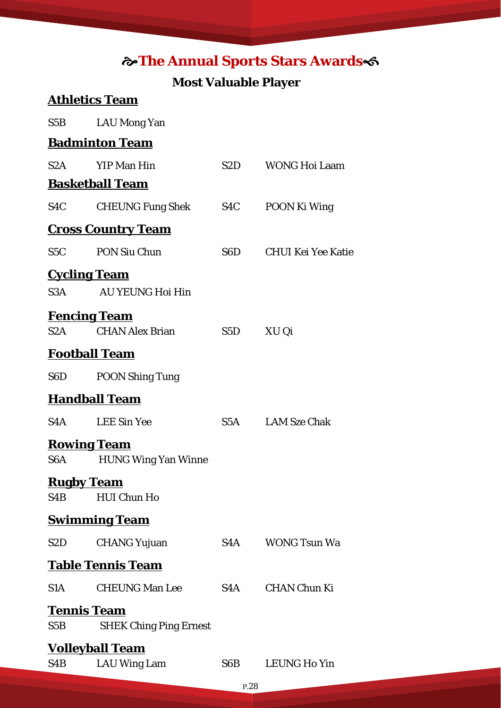### **The Annual Sports Stars Awards**

#### **Most Valuable Player**

# **Athletics Team**  S5B LAU Mong Yan **Badminton Team**  S2A YIP Man Hin S2D WONG Hoi Laam **Basketball Team**  S4C CHEUNG Fung Shek S4C POON Ki Wing **Cross Country Team**  S5C PON Siu Chun S6D CHUI Kei Yee Katie

**Cycling Team**  S3A AU YEUNG Hoi Hin

### **Fencing Team**

S2A CHAN Alex Brian S5D XU Qi

#### **Football Team**

**Handball Team** 

S6D POON Shing Tung

| S4A | <b>LEE Sin Yee</b> | S <sub>5</sub> A | <b>LAM Sze Chak</b> |
|-----|--------------------|------------------|---------------------|
|     |                    |                  |                     |

#### **Rowing Team**

S6A HUNG Wing Yan Winne

#### **Rugby Team**

S4B HUI Chun Ho

#### **Swimming Team**

| S <sub>2</sub> D | <b>CHANG Yujuan</b>      | S4A | WONG Tsun Wa |
|------------------|--------------------------|-----|--------------|
|                  | <b>Table Tennis Team</b> |     |              |

### S1A CHEUNG Man Lee S4A CHAN Chun Ki

#### **Tennis Team**

S5B SHEK Ching Ping Ernest

#### **Volleyball Team**

| S4B | .A l |
|-----|------|
|-----|------|

U Wing Lam S6B LEUNG Ho Yin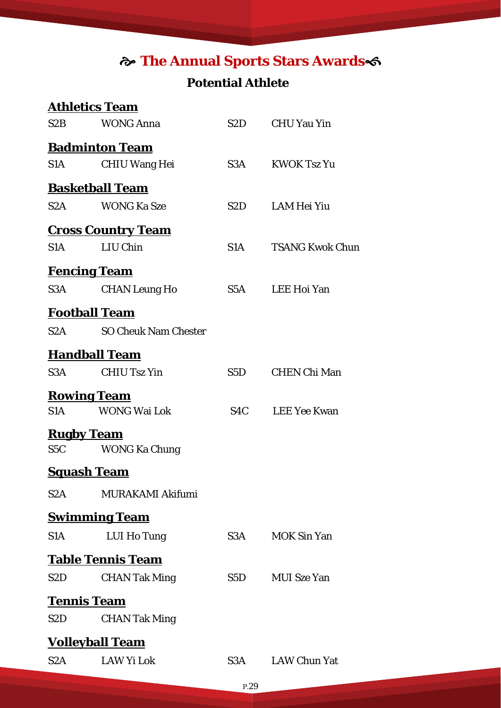# **The Annual Sports Stars Awards**

### **Potential Athlete**

|                        | <b>Athletics Team</b>       |     |                        |  |  |  |  |
|------------------------|-----------------------------|-----|------------------------|--|--|--|--|
| S2B                    | <b>WONG Anna</b>            | S2D | <b>CHU Yau Yin</b>     |  |  |  |  |
|                        | <b>Badminton Team</b>       |     |                        |  |  |  |  |
| S1A                    | <b>CHIU Wang Hei</b>        | S3A | <b>KWOK Tsz Yu</b>     |  |  |  |  |
|                        | <b>Basketball Team</b>      |     |                        |  |  |  |  |
| S2A                    | <b>WONG Ka Sze</b>          | S2D | <b>LAM Hei Yiu</b>     |  |  |  |  |
|                        | <b>Cross Country Team</b>   |     |                        |  |  |  |  |
| S1A                    | LIU Chin                    | S1A | <b>TSANG Kwok Chun</b> |  |  |  |  |
| <u>Fencing Team</u>    |                             |     |                        |  |  |  |  |
| S3A                    | <b>CHAN Leung Ho</b>        | S5A | <b>LEE Hoi Yan</b>     |  |  |  |  |
| <b>Football Team</b>   |                             |     |                        |  |  |  |  |
| S2A                    | <b>SO Cheuk Nam Chester</b> |     |                        |  |  |  |  |
| <b>Handball Team</b>   |                             |     |                        |  |  |  |  |
| S3A                    | <b>CHIU Tsz Yin</b>         | S5D | <b>CHEN Chi Man</b>    |  |  |  |  |
| <u>Rowing Team</u>     |                             |     |                        |  |  |  |  |
| S1A                    | <b>WONG Wai Lok</b>         | S4C | <b>LEE Yee Kwan</b>    |  |  |  |  |
| <b>Rugby Team</b>      |                             |     |                        |  |  |  |  |
| S5C                    | <b>WONG Ka Chung</b>        |     |                        |  |  |  |  |
| <u>Squash Team</u>     |                             |     |                        |  |  |  |  |
| S2A                    | MURAKAMI Akifumi            |     |                        |  |  |  |  |
|                        | <b>Swimming Team</b>        |     |                        |  |  |  |  |
| S <sub>1</sub> A       | LUI Ho Tung                 | S3A | <b>MOK Sin Yan</b>     |  |  |  |  |
|                        | <b>Table Tennis Team</b>    |     |                        |  |  |  |  |
| S2D                    | <b>CHAN Tak Ming</b>        | S5D | <b>MUI</b> Sze Yan     |  |  |  |  |
| <b>Tennis Team</b>     |                             |     |                        |  |  |  |  |
| S2D                    | <b>CHAN Tak Ming</b>        |     |                        |  |  |  |  |
| <u>Volleyball Team</u> |                             |     |                        |  |  |  |  |
| S2A                    | <b>LAW Yi Lok</b>           | S3A | <b>LAW Chun Yat</b>    |  |  |  |  |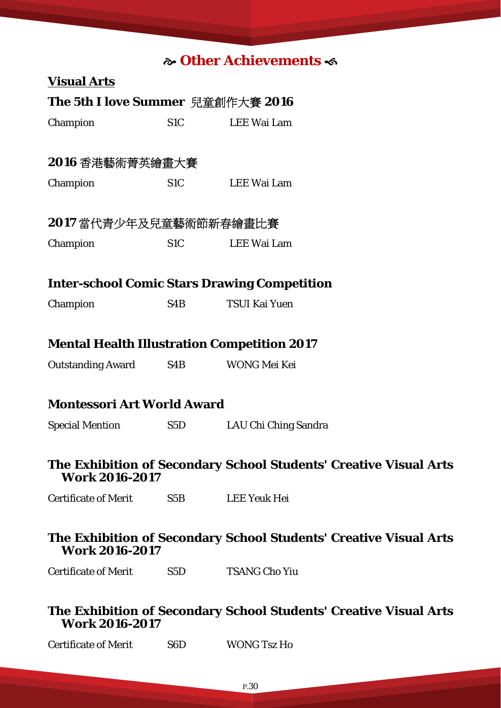### **Other Achievements**

|                                   |                  | <b>సీ Uther Achievements వ</b>                                    |
|-----------------------------------|------------------|-------------------------------------------------------------------|
| <b>Visual Arts</b>                |                  |                                                                   |
| The 5th I love Summer 兒童創作大賽 2016 |                  |                                                                   |
| Champion                          | S <sub>1</sub> C | <b>LEE Wai Lam</b>                                                |
| 2016 香港藝術菁英繪畫大賽                   |                  |                                                                   |
| Champion                          | S <sub>1</sub> C | LEE Wai Lam                                                       |
| 2017 當代青少年及兒童藝術節新春繪畫比賽            |                  |                                                                   |
| Champion                          | S <sub>1</sub> C | <b>LEE Wai Lam</b>                                                |
|                                   |                  | <b>Inter-school Comic Stars Drawing Competition</b>               |
| Champion                          | S <sub>4</sub> B | <b>TSUI Kai Yuen</b>                                              |
|                                   |                  | <b>Mental Health Illustration Competition 2017</b>                |
| <b>Outstanding Award</b>          | S4B              | WONG Mei Kei                                                      |
| <b>Montessori Art World Award</b> |                  |                                                                   |
| <b>Special Mention</b>            | S5D              | LAU Chi Ching Sandra                                              |
| <b>Work 2016-2017</b>             |                  | The Exhibition of Secondary School Students' Creative Visual Arts |
| <b>Certificate of Merit</b>       | S5B              | LEE Yeuk Hei                                                      |
| <b>Work 2016-2017</b>             |                  | The Exhibition of Secondary School Students' Creative Visual Arts |
| <b>Certificate of Merit</b>       | S5D              | <b>TSANG Cho Yiu</b>                                              |
| <b>Work 2016-2017</b>             |                  | The Exhibition of Secondary School Students' Creative Visual Arts |
| <b>Certificate of Merit</b>       | S <sub>6</sub> D | <b>WONG Tsz Ho</b>                                                |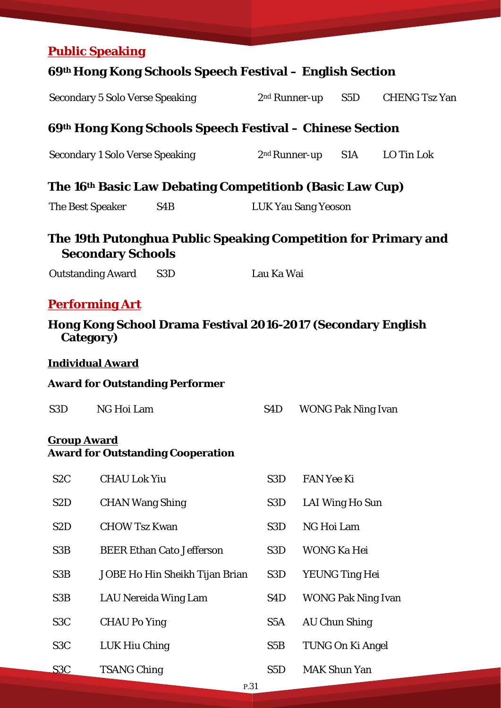|                  | <b>Public Speaking</b>   |                                                                |                            |                           |                           |                                          |
|------------------|--------------------------|----------------------------------------------------------------|----------------------------|---------------------------|---------------------------|------------------------------------------|
|                  |                          | 69th Hong Kong Schools Speech Festival – English Section       |                            |                           |                           |                                          |
|                  |                          | <b>Secondary 5 Solo Verse Speaking</b>                         |                            | 2 <sup>nd</sup> Runner-up | S5D                       | <b>CHENG Tsz Yan</b>                     |
|                  |                          | 69th Hong Kong Schools Speech Festival – Chinese Section       |                            |                           |                           |                                          |
|                  |                          | <b>Secondary 1 Solo Verse Speaking</b>                         |                            |                           |                           | 2 <sup>nd</sup> Runner-up S1A LO Tin Lok |
|                  |                          | The 16th Basic Law Debating Competitionb (Basic Law Cup)       |                            |                           |                           |                                          |
|                  | The Best Speaker         | S <sub>4</sub> B                                               | <b>LUK Yau Sang Yeoson</b> |                           |                           |                                          |
|                  | <b>Secondary Schools</b> | The 19th Putonghua Public Speaking Competition for Primary and |                            |                           |                           |                                          |
|                  | <b>Outstanding Award</b> | S <sub>3</sub> D                                               | Lau Ka Wai                 |                           |                           |                                          |
|                  | <u>Performing Art</u>    |                                                                |                            |                           |                           |                                          |
|                  | Category)                | Hong Kong School Drama Festival 2016-2017 (Secondary English   |                            |                           |                           |                                          |
|                  | <b>Individual Award</b>  |                                                                |                            |                           |                           |                                          |
|                  |                          | <b>Award for Outstanding Performer</b>                         |                            |                           |                           |                                          |
| S <sub>3</sub> D | NG Hoi Lam               |                                                                | S4D                        |                           | <b>WONG Pak Ning Ivan</b> |                                          |
|                  | <b>Group Award</b>       | <b>Award for Outstanding Cooperation</b>                       |                            |                           |                           |                                          |
| S <sub>2</sub> C | <b>CHAU Lok Yiu</b>      |                                                                | S <sub>3</sub> D           | <b>FAN Yee Ki</b>         |                           |                                          |
| S <sub>2</sub> D | <b>CHAN Wang Shing</b>   |                                                                | S <sub>3</sub> D           |                           | LAI Wing Ho Sun           |                                          |
| S <sub>2</sub> D | <b>CHOW Tsz Kwan</b>     |                                                                | S <sub>3</sub> D           | NG Hoi Lam                |                           |                                          |
| S <sub>3</sub> B |                          | <b>BEER Ethan Cato Jefferson</b>                               | S <sub>3</sub> D           |                           | <b>WONG Ka Hei</b>        |                                          |
| S <sub>3</sub> B |                          | JOBE Ho Hin Sheikh Tijan Brian                                 | S3D                        |                           | <b>YEUNG Ting Hei</b>     |                                          |
| S <sub>3</sub> B |                          | LAU Nereida Wing Lam                                           | S <sub>4</sub> D           |                           | <b>WONG Pak Ning Ivan</b> |                                          |
| S <sub>3</sub> C | <b>CHAU Po Ying</b>      |                                                                | S <sub>5</sub> A           |                           | <b>AU Chun Shing</b>      |                                          |
| S <sub>3</sub> C | LUK Hiu Ching            |                                                                | S5B                        |                           | TUNG On Ki Angel          |                                          |
| S <sub>3</sub> C | <b>TSANG Ching</b>       |                                                                | S <sub>5</sub> D           |                           | <b>MAK Shun Yan</b>       |                                          |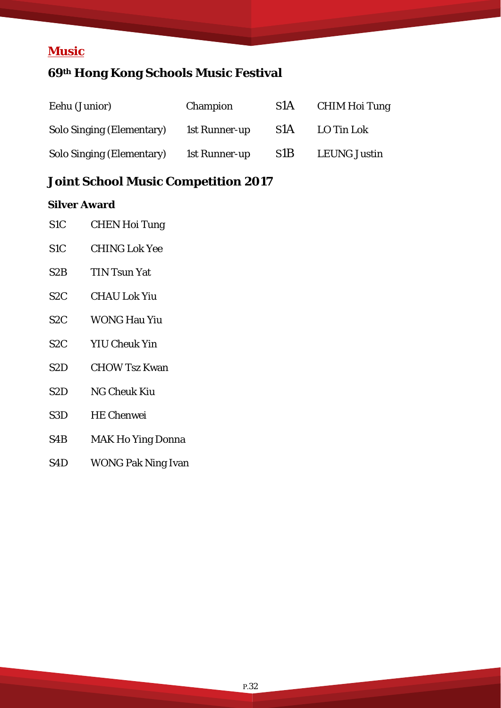### **Music**

# **69th Hong Kong Schools Music Festival**

| Eehu (Junior)                    | Champion      | S <sub>1</sub> A | CHIM Hoi Tung       |
|----------------------------------|---------------|------------------|---------------------|
| <b>Solo Singing (Elementary)</b> | 1st Runner-up | S <sub>1</sub> A | LO Tin Lok          |
| <b>Solo Singing (Elementary)</b> | 1st Runner-up | S <sub>1</sub> B | <b>LEUNG Justin</b> |

### **Joint School Music Competition 2017**

#### **Silver Award**

| Silver Award     |                           |
|------------------|---------------------------|
| S <sub>1</sub> C | <b>CHEN Hoi Tung</b>      |
| S <sub>1</sub> C | <b>CHING Lok Yee</b>      |
| S <sub>2</sub> B | <b>TIN Tsun Yat</b>       |
| S <sub>2</sub> C | <b>CHAU Lok Yiu</b>       |
| S <sub>2</sub> C | <b>WONG Hau Yiu</b>       |
| S <sub>2</sub> C | <b>YIU Cheuk Yin</b>      |
| S <sub>2</sub> D | <b>CHOW Tsz Kwan</b>      |
| S <sub>2</sub> D | <b>NG Cheuk Kiu</b>       |
| S <sub>3</sub> D | <b>HE Chenwei</b>         |
| S4B              | <b>MAK Ho Ying Donna</b>  |
| S4D              | <b>WONG Pak Ning Ivan</b> |
|                  |                           |
|                  |                           |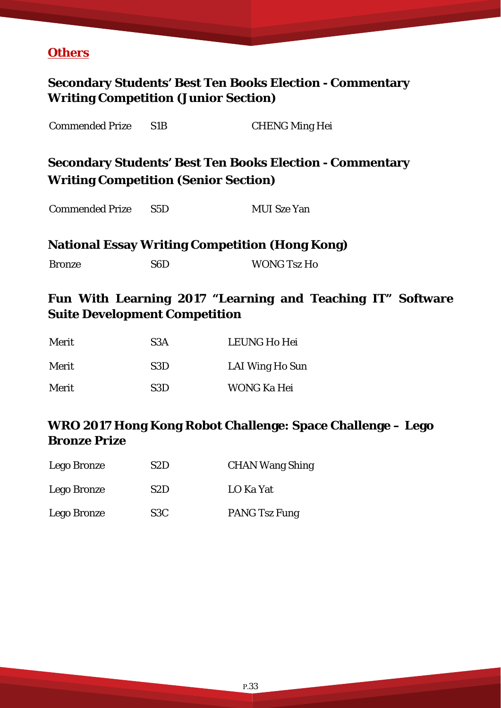#### **Others**

# **Secondary Students' Best Ten Books Election - Commentary Writing Competition (Junior Section)**  Commended Prize S1B CHENG Ming Hei **Secondary Students' Best Ten Books Election - Commentary Writing Competition (Senior Section)**  Commended Prize S5D MUI Sze Yan **National Essay Writing Competition (Hong Kong)**  Bronze S6D WONG Tsz Ho

### **Fun With Learning 2017 "Learning and Teaching IT" Software Suite Development Competition**

| Merit | S <sub>3</sub> A | <b>LEUNG Ho Hei</b> |
|-------|------------------|---------------------|
| Merit | S3D              | LAI Wing Ho Sun     |
| Merit | S3D              | WONG Ka Hei         |

#### **WRO 2017 Hong Kong Robot Challenge: Space Challenge – Lego Bronze Prize**

| Lego Bronze | S2D              | <b>CHAN Wang Shing</b> |
|-------------|------------------|------------------------|
| Lego Bronze | S <sub>2</sub> D | LO Ka Yat              |
| Lego Bronze | S <sub>3</sub> C | <b>PANG Tsz Fung</b>   |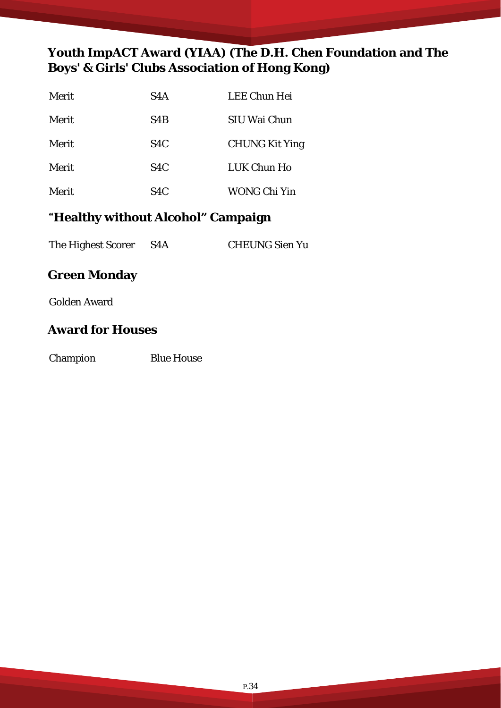### **Youth ImpACT Award (YIAA) (The D.H. Chen Foundation and The Boys' & Girls' Clubs Association of Hong Kong)**

| Merit | S <sub>4</sub> A | <b>LEE Chun Hei</b>   |
|-------|------------------|-----------------------|
| Merit | S <sub>4</sub> B | SIU Wai Chun          |
| Merit | S <sub>4</sub> C | <b>CHUNG Kit Ying</b> |
| Merit | S <sub>4</sub> C | LUK Chun Ho           |
| Merit | S <sub>4</sub> C | <b>WONG Chi Yin</b>   |

### "**Healthy without Alcohol" Campaign**

The Highest Scorer S4A CHEUNG Sien Yu

#### **Green Monday**

Golden Award

#### **Award for Houses**

Champion Blue House